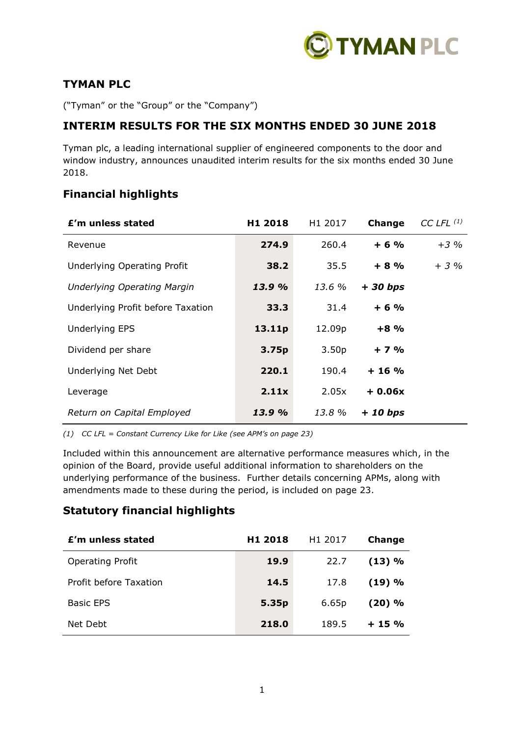

# **TYMAN PLC**

("Tyman" or the "Group" or the "Company")

# **INTERIM RESULTS FOR THE SIX MONTHS ENDED 30 JUNE 2018**

Tyman plc, a leading international supplier of engineered components to the door and window industry, announces unaudited interim results for the six months ended 30 June 2018.

# **Financial highlights**

| £'m unless stated                  | H <sub>1</sub> 2018 | H <sub>1</sub> 2017 | Change    | CC LFL $(1)$ |
|------------------------------------|---------------------|---------------------|-----------|--------------|
| Revenue                            | 274.9               | 260.4               | $+6%$     | $+3%$        |
| Underlying Operating Profit        | 38.2                | 35.5                | $+8%$     | $+3\%$       |
| <b>Underlying Operating Margin</b> | 13.9 %              | 13.6 %              | $+30 bps$ |              |
| Underlying Profit before Taxation  | 33.3                | 31.4                | $+6%$     |              |
| <b>Underlying EPS</b>              | 13.11p              | 12.09p              | $+8%$     |              |
| Dividend per share                 | 3.75p               | 3.50 <sub>p</sub>   | $+7%$     |              |
| Underlying Net Debt                | 220.1               | 190.4               | $+16%$    |              |
| Leverage                           | 2.11x               | 2.05x               | $+0.06x$  |              |
| Return on Capital Employed         | 13.9 %              | 13.8 %              | $+10 bps$ |              |

*(1) CC LFL = Constant Currency Like for Like (see APM's on page 23)*

Included within this announcement are alternative performance measures which, in the opinion of the Board, provide useful additional information to shareholders on the underlying performance of the business. Further details concerning APMs, along with amendments made to these during the period, is included on page 23.

# **Statutory financial highlights**

| £'m unless stated       | H1 2018 | H <sub>1</sub> 2017 | <b>Change</b> |
|-------------------------|---------|---------------------|---------------|
| <b>Operating Profit</b> | 19.9    | 22.7                | (13) %        |
| Profit before Taxation  | 14.5    | 17.8                | (19) %        |
| <b>Basic EPS</b>        | 5.35p   | 6.65p               | $(20)$ %      |
| Net Debt                | 218.0   | 189.5               | $+15%$        |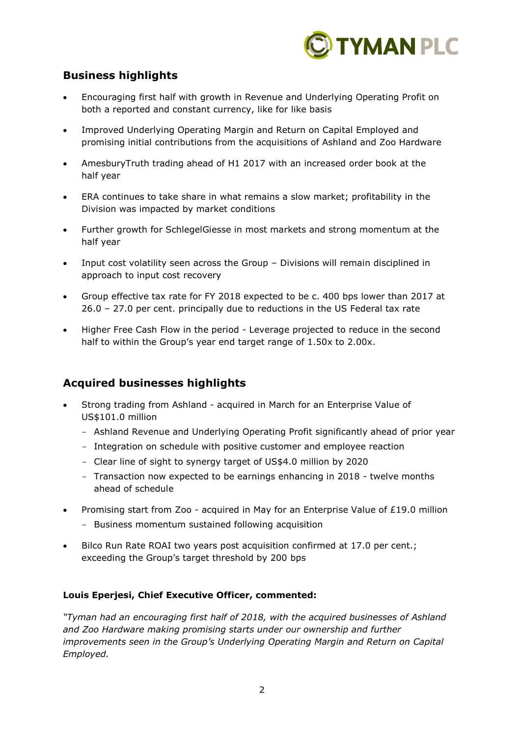

# **Business highlights**

- Encouraging first half with growth in Revenue and Underlying Operating Profit on both a reported and constant currency, like for like basis
- Improved Underlying Operating Margin and Return on Capital Employed and promising initial contributions from the acquisitions of Ashland and Zoo Hardware
- AmesburyTruth trading ahead of H1 2017 with an increased order book at the half year
- ERA continues to take share in what remains a slow market; profitability in the Division was impacted by market conditions
- Further growth for SchlegelGiesse in most markets and strong momentum at the half year
- Input cost volatility seen across the Group Divisions will remain disciplined in approach to input cost recovery
- Group effective tax rate for FY 2018 expected to be c. 400 bps lower than 2017 at 26.0 – 27.0 per cent. principally due to reductions in the US Federal tax rate
- Higher Free Cash Flow in the period Leverage projected to reduce in the second half to within the Group's year end target range of 1.50x to 2.00x.

# **Acquired businesses highlights**

- Strong trading from Ashland acquired in March for an Enterprise Value of US\$101.0 million
	- Ashland Revenue and Underlying Operating Profit significantly ahead of prior year
	- Integration on schedule with positive customer and employee reaction
	- Clear line of sight to synergy target of US\$4.0 million by 2020
	- Transaction now expected to be earnings enhancing in 2018 twelve months ahead of schedule
- Promising start from Zoo acquired in May for an Enterprise Value of £19.0 million
	- Business momentum sustained following acquisition
- Bilco Run Rate ROAI two years post acquisition confirmed at 17.0 per cent.; exceeding the Group's target threshold by 200 bps

# **Louis Eperjesi, Chief Executive Officer, commented:**

*"Tyman had an encouraging first half of 2018, with the acquired businesses of Ashland and Zoo Hardware making promising starts under our ownership and further improvements seen in the Group's Underlying Operating Margin and Return on Capital Employed.*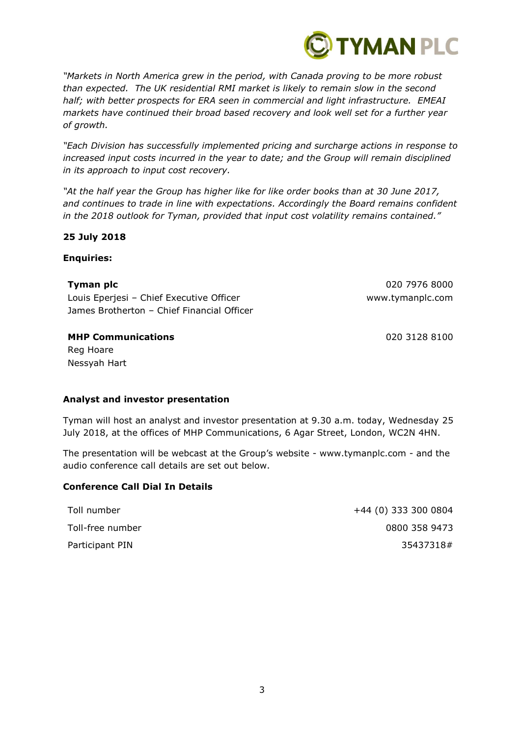

*"Markets in North America grew in the period, with Canada proving to be more robust than expected. The UK residential RMI market is likely to remain slow in the second half; with better prospects for ERA seen in commercial and light infrastructure. EMEAI markets have continued their broad based recovery and look well set for a further year of growth.*

*"Each Division has successfully implemented pricing and surcharge actions in response to increased input costs incurred in the year to date; and the Group will remain disciplined in its approach to input cost recovery.*

*"At the half year the Group has higher like for like order books than at 30 June 2017, and continues to trade in line with expectations. Accordingly the Board remains confident in the 2018 outlook for Tyman, provided that input cost volatility remains contained."*

### **25 July 2018**

### **Enquiries:**

**Tyman plc** 020 7976 8000 Louis Eperjesi – Chief Executive Officer www.tymanplc.com James Brotherton – Chief Financial Officer

**MHP Communications** 020 3128 8100

Reg Hoare Nessyah Hart

## **Analyst and investor presentation**

Tyman will host an analyst and investor presentation at 9.30 a.m. today, Wednesday 25 July 2018, at the offices of MHP Communications, 6 Agar Street, London, WC2N 4HN.

The presentation will be webcast at the Group's website - www.tymanplc.com - and the audio conference call details are set out below.

## **Conference Call Dial In Details**

| Toll number      | +44 (0) 333 300 0804 |
|------------------|----------------------|
| Toll-free number | 0800 358 9473        |
| Participant PIN  | 35437318#            |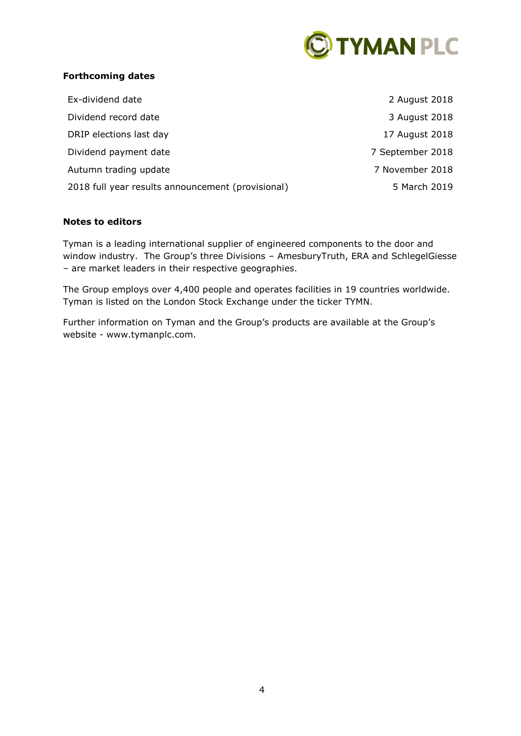

# **Forthcoming dates**

| Ex-dividend date                                  | 2 August 2018    |
|---------------------------------------------------|------------------|
| Dividend record date                              | 3 August 2018    |
| DRIP elections last day                           | 17 August 2018   |
| Dividend payment date                             | 7 September 2018 |
| Autumn trading update                             | 7 November 2018  |
| 2018 full year results announcement (provisional) | 5 March 2019     |

### **Notes to editors**

Tyman is a leading international supplier of engineered components to the door and window industry. The Group's three Divisions – AmesburyTruth, ERA and SchlegelGiesse – are market leaders in their respective geographies.

The Group employs over 4,400 people and operates facilities in 19 countries worldwide. Tyman is listed on the London Stock Exchange under the ticker TYMN.

Further information on Tyman and the Group's products are available at the Group's website - www.tymanplc.com.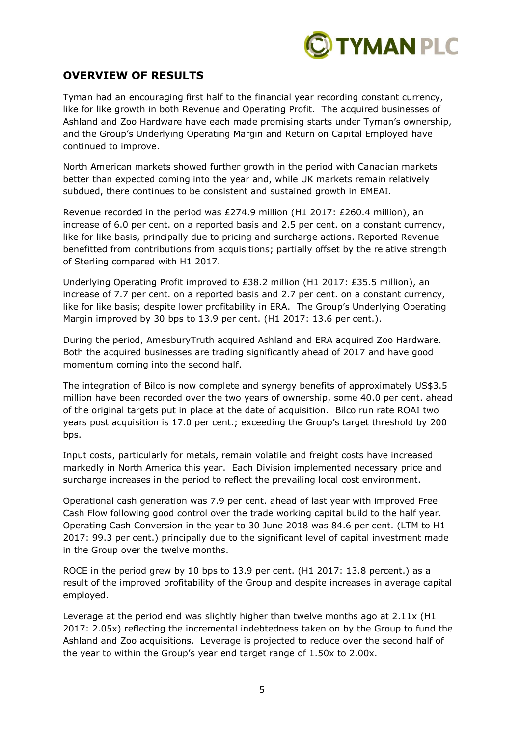

# **OVERVIEW OF RESULTS**

Tyman had an encouraging first half to the financial year recording constant currency, like for like growth in both Revenue and Operating Profit. The acquired businesses of Ashland and Zoo Hardware have each made promising starts under Tyman's ownership, and the Group's Underlying Operating Margin and Return on Capital Employed have continued to improve.

North American markets showed further growth in the period with Canadian markets better than expected coming into the year and, while UK markets remain relatively subdued, there continues to be consistent and sustained growth in EMEAI.

Revenue recorded in the period was £274.9 million (H1 2017: £260.4 million), an increase of 6.0 per cent. on a reported basis and 2.5 per cent. on a constant currency, like for like basis, principally due to pricing and surcharge actions. Reported Revenue benefitted from contributions from acquisitions; partially offset by the relative strength of Sterling compared with H1 2017.

Underlying Operating Profit improved to £38.2 million (H1 2017: £35.5 million), an increase of 7.7 per cent. on a reported basis and 2.7 per cent. on a constant currency, like for like basis; despite lower profitability in ERA. The Group's Underlying Operating Margin improved by 30 bps to 13.9 per cent. (H1 2017: 13.6 per cent.).

During the period, AmesburyTruth acquired Ashland and ERA acquired Zoo Hardware. Both the acquired businesses are trading significantly ahead of 2017 and have good momentum coming into the second half.

The integration of Bilco is now complete and synergy benefits of approximately US\$3.5 million have been recorded over the two years of ownership, some 40.0 per cent. ahead of the original targets put in place at the date of acquisition. Bilco run rate ROAI two years post acquisition is 17.0 per cent.; exceeding the Group's target threshold by 200 bps.

Input costs, particularly for metals, remain volatile and freight costs have increased markedly in North America this year. Each Division implemented necessary price and surcharge increases in the period to reflect the prevailing local cost environment.

Operational cash generation was 7.9 per cent. ahead of last year with improved Free Cash Flow following good control over the trade working capital build to the half year. Operating Cash Conversion in the year to 30 June 2018 was 84.6 per cent. (LTM to H1 2017: 99.3 per cent.) principally due to the significant level of capital investment made in the Group over the twelve months.

ROCE in the period grew by 10 bps to 13.9 per cent. (H1 2017: 13.8 percent.) as a result of the improved profitability of the Group and despite increases in average capital employed.

Leverage at the period end was slightly higher than twelve months ago at 2.11x (H1 2017: 2.05x) reflecting the incremental indebtedness taken on by the Group to fund the Ashland and Zoo acquisitions. Leverage is projected to reduce over the second half of the year to within the Group's year end target range of 1.50x to 2.00x.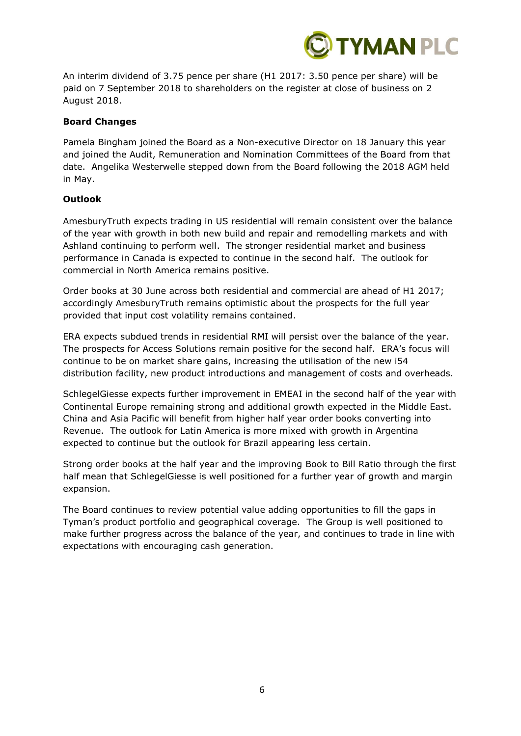

An interim dividend of 3.75 pence per share (H1 2017: 3.50 pence per share) will be paid on 7 September 2018 to shareholders on the register at close of business on 2 August 2018.

## **Board Changes**

Pamela Bingham joined the Board as a Non-executive Director on 18 January this year and joined the Audit, Remuneration and Nomination Committees of the Board from that date. Angelika Westerwelle stepped down from the Board following the 2018 AGM held in May.

## **Outlook**

AmesburyTruth expects trading in US residential will remain consistent over the balance of the year with growth in both new build and repair and remodelling markets and with Ashland continuing to perform well. The stronger residential market and business performance in Canada is expected to continue in the second half. The outlook for commercial in North America remains positive.

Order books at 30 June across both residential and commercial are ahead of H1 2017; accordingly AmesburyTruth remains optimistic about the prospects for the full year provided that input cost volatility remains contained.

ERA expects subdued trends in residential RMI will persist over the balance of the year. The prospects for Access Solutions remain positive for the second half. ERA's focus will continue to be on market share gains, increasing the utilisation of the new i54 distribution facility, new product introductions and management of costs and overheads.

SchlegelGiesse expects further improvement in EMEAI in the second half of the year with Continental Europe remaining strong and additional growth expected in the Middle East. China and Asia Pacific will benefit from higher half year order books converting into Revenue. The outlook for Latin America is more mixed with growth in Argentina expected to continue but the outlook for Brazil appearing less certain.

Strong order books at the half year and the improving Book to Bill Ratio through the first half mean that SchlegelGiesse is well positioned for a further year of growth and margin expansion.

The Board continues to review potential value adding opportunities to fill the gaps in Tyman's product portfolio and geographical coverage. The Group is well positioned to make further progress across the balance of the year, and continues to trade in line with expectations with encouraging cash generation.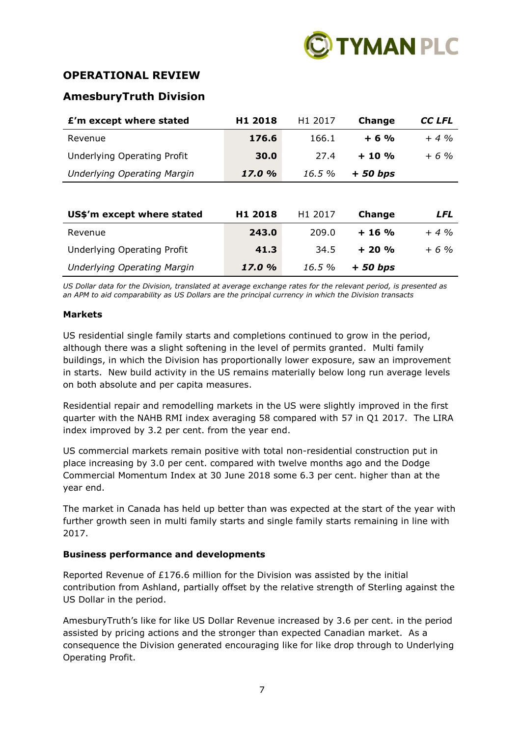

# **OPERATIONAL REVIEW**

# **AmesburyTruth Division**

| £'m except where stated            | H <sub>1</sub> 2018 | H <sub>1</sub> 2017 | <b>Change</b> | <b>CC LFL</b> |
|------------------------------------|---------------------|---------------------|---------------|---------------|
| Revenue                            | 176.6               | 166.1               | $+6%$         | $+4%$         |
| Underlying Operating Profit        | 30.0                | 27.4                | $+10%$        | $+6%$         |
| <b>Underlying Operating Margin</b> | 17.0 %              | 16.5%               | $+50 bps$     |               |
|                                    |                     |                     |               |               |
| US\$'m except where stated         | H <sub>1</sub> 2018 | H <sub>1</sub> 2017 | <b>Change</b> | <b>LFL</b>    |
| Revenue                            | 243.0               | 209.0               | $+16%$        | $+4\%$        |
| <b>Underlying Operating Profit</b> | 41.3                | 34.5                | $+20%$        | $+6%$         |
| <b>Underlying Operating Margin</b> | 17.0 %              | 16.5%               | + 50 bps      |               |

*US Dollar data for the Division, translated at average exchange rates for the relevant period, is presented as an APM to aid comparability as US Dollars are the principal currency in which the Division transacts*

### **Markets**

US residential single family starts and completions continued to grow in the period, although there was a slight softening in the level of permits granted. Multi family buildings, in which the Division has proportionally lower exposure, saw an improvement in starts. New build activity in the US remains materially below long run average levels on both absolute and per capita measures.

Residential repair and remodelling markets in the US were slightly improved in the first quarter with the NAHB RMI index averaging 58 compared with 57 in Q1 2017. The LIRA index improved by 3.2 per cent. from the year end.

US commercial markets remain positive with total non-residential construction put in place increasing by 3.0 per cent. compared with twelve months ago and the Dodge Commercial Momentum Index at 30 June 2018 some 6.3 per cent. higher than at the year end.

The market in Canada has held up better than was expected at the start of the year with further growth seen in multi family starts and single family starts remaining in line with 2017.

## **Business performance and developments**

Reported Revenue of £176.6 million for the Division was assisted by the initial contribution from Ashland, partially offset by the relative strength of Sterling against the US Dollar in the period.

AmesburyTruth's like for like US Dollar Revenue increased by 3.6 per cent. in the period assisted by pricing actions and the stronger than expected Canadian market. As a consequence the Division generated encouraging like for like drop through to Underlying Operating Profit.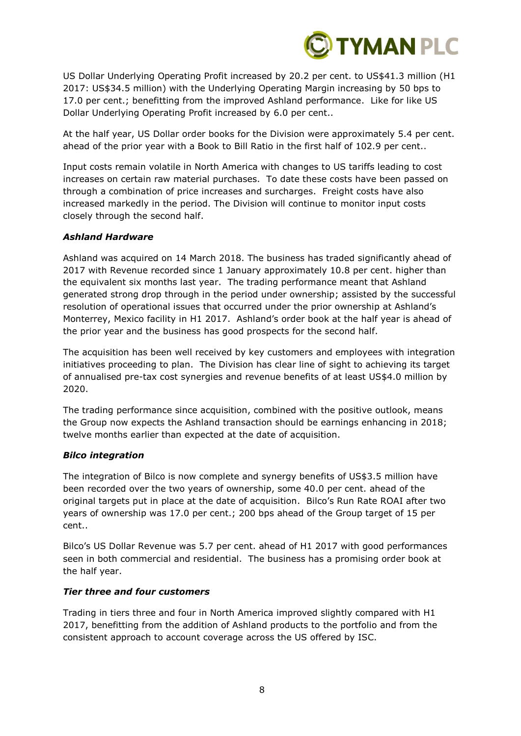

US Dollar Underlying Operating Profit increased by 20.2 per cent. to US\$41.3 million (H1 2017: US\$34.5 million) with the Underlying Operating Margin increasing by 50 bps to 17.0 per cent.; benefitting from the improved Ashland performance. Like for like US Dollar Underlying Operating Profit increased by 6.0 per cent..

At the half year, US Dollar order books for the Division were approximately 5.4 per cent. ahead of the prior year with a Book to Bill Ratio in the first half of 102.9 per cent..

Input costs remain volatile in North America with changes to US tariffs leading to cost increases on certain raw material purchases. To date these costs have been passed on through a combination of price increases and surcharges. Freight costs have also increased markedly in the period. The Division will continue to monitor input costs closely through the second half.

### *Ashland Hardware*

Ashland was acquired on 14 March 2018. The business has traded significantly ahead of 2017 with Revenue recorded since 1 January approximately 10.8 per cent. higher than the equivalent six months last year. The trading performance meant that Ashland generated strong drop through in the period under ownership; assisted by the successful resolution of operational issues that occurred under the prior ownership at Ashland's Monterrey, Mexico facility in H1 2017. Ashland's order book at the half year is ahead of the prior year and the business has good prospects for the second half.

The acquisition has been well received by key customers and employees with integration initiatives proceeding to plan. The Division has clear line of sight to achieving its target of annualised pre-tax cost synergies and revenue benefits of at least US\$4.0 million by 2020.

The trading performance since acquisition, combined with the positive outlook, means the Group now expects the Ashland transaction should be earnings enhancing in 2018; twelve months earlier than expected at the date of acquisition.

### *Bilco integration*

The integration of Bilco is now complete and synergy benefits of US\$3.5 million have been recorded over the two years of ownership, some 40.0 per cent. ahead of the original targets put in place at the date of acquisition. Bilco's Run Rate ROAI after two years of ownership was 17.0 per cent.; 200 bps ahead of the Group target of 15 per cent..

Bilco's US Dollar Revenue was 5.7 per cent. ahead of H1 2017 with good performances seen in both commercial and residential. The business has a promising order book at the half year.

### *Tier three and four customers*

Trading in tiers three and four in North America improved slightly compared with H1 2017, benefitting from the addition of Ashland products to the portfolio and from the consistent approach to account coverage across the US offered by ISC.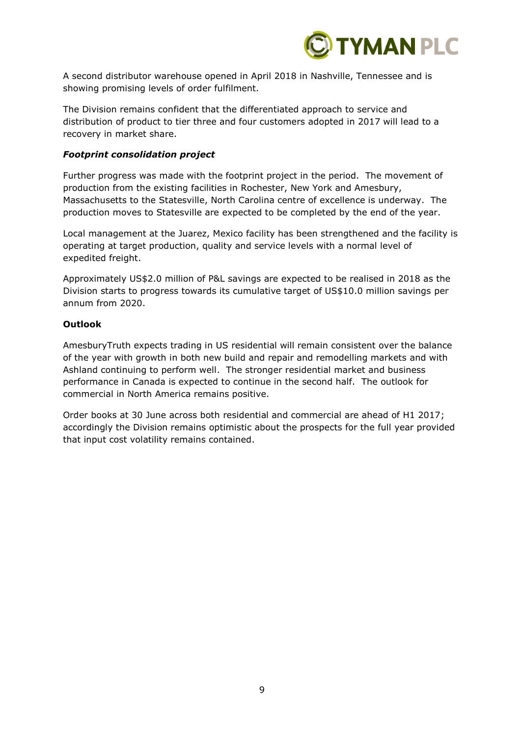

A second distributor warehouse opened in April 2018 in Nashville, Tennessee and is showing promising levels of order fulfilment.

The Division remains confident that the differentiated approach to service and distribution of product to tier three and four customers adopted in 2017 will lead to a recovery in market share.

### *Footprint consolidation project*

Further progress was made with the footprint project in the period. The movement of production from the existing facilities in Rochester, New York and Amesbury, Massachusetts to the Statesville, North Carolina centre of excellence is underway. The production moves to Statesville are expected to be completed by the end of the year.

Local management at the Juarez, Mexico facility has been strengthened and the facility is operating at target production, quality and service levels with a normal level of expedited freight.

Approximately US\$2.0 million of P&L savings are expected to be realised in 2018 as the Division starts to progress towards its cumulative target of US\$10.0 million savings per annum from 2020.

#### **Outlook**

AmesburyTruth expects trading in US residential will remain consistent over the balance of the year with growth in both new build and repair and remodelling markets and with Ashland continuing to perform well. The stronger residential market and business performance in Canada is expected to continue in the second half. The outlook for commercial in North America remains positive.

Order books at 30 June across both residential and commercial are ahead of H1 2017; accordingly the Division remains optimistic about the prospects for the full year provided that input cost volatility remains contained.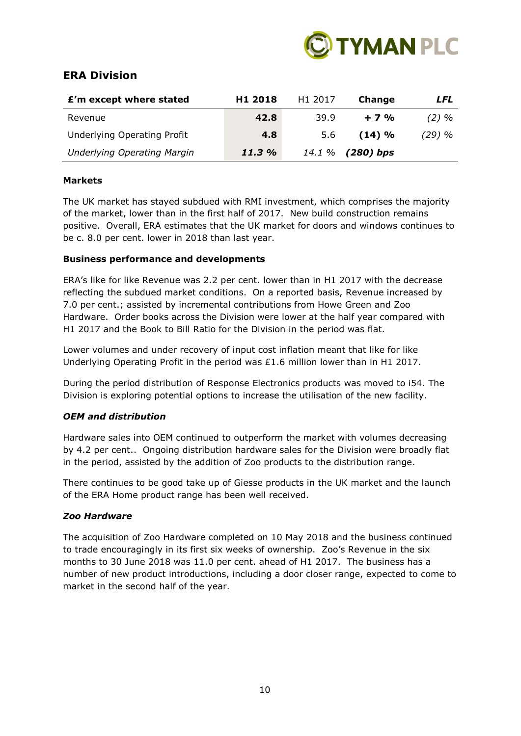

# **ERA Division**

| £'m except where stated            | H <sub>1</sub> 2018 | H <sub>1</sub> 2017 | Change              | LFL     |
|------------------------------------|---------------------|---------------------|---------------------|---------|
| Revenue                            | 42.8                | 39.9                | $+7%$               | $(2)$ % |
| <b>Underlying Operating Profit</b> | 4.8                 | 5.6                 | (14) %              | (29) %  |
| <b>Underlying Operating Margin</b> | 11.3%               |                     | 14.1 $\%$ (280) bps |         |

### **Markets**

The UK market has stayed subdued with RMI investment, which comprises the majority of the market, lower than in the first half of 2017. New build construction remains positive. Overall, ERA estimates that the UK market for doors and windows continues to be c. 8.0 per cent. lower in 2018 than last year.

### **Business performance and developments**

ERA's like for like Revenue was 2.2 per cent. lower than in H1 2017 with the decrease reflecting the subdued market conditions. On a reported basis, Revenue increased by 7.0 per cent.; assisted by incremental contributions from Howe Green and Zoo Hardware. Order books across the Division were lower at the half year compared with H1 2017 and the Book to Bill Ratio for the Division in the period was flat.

Lower volumes and under recovery of input cost inflation meant that like for like Underlying Operating Profit in the period was £1.6 million lower than in H1 2017.

During the period distribution of Response Electronics products was moved to i54. The Division is exploring potential options to increase the utilisation of the new facility.

## *OEM and distribution*

Hardware sales into OEM continued to outperform the market with volumes decreasing by 4.2 per cent.. Ongoing distribution hardware sales for the Division were broadly flat in the period, assisted by the addition of Zoo products to the distribution range.

There continues to be good take up of Giesse products in the UK market and the launch of the ERA Home product range has been well received.

### *Zoo Hardware*

The acquisition of Zoo Hardware completed on 10 May 2018 and the business continued to trade encouragingly in its first six weeks of ownership. Zoo's Revenue in the six months to 30 June 2018 was 11.0 per cent. ahead of H1 2017. The business has a number of new product introductions, including a door closer range, expected to come to market in the second half of the year.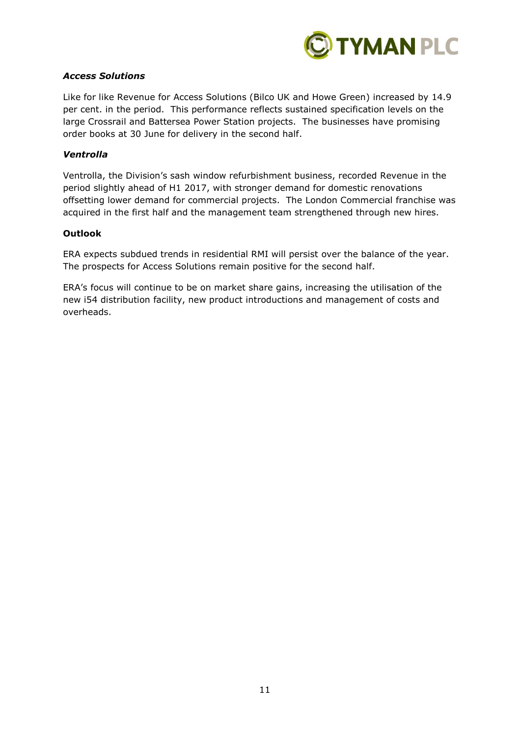

# *Access Solutions*

Like for like Revenue for Access Solutions (Bilco UK and Howe Green) increased by 14.9 per cent. in the period. This performance reflects sustained specification levels on the large Crossrail and Battersea Power Station projects. The businesses have promising order books at 30 June for delivery in the second half.

### *Ventrolla*

Ventrolla, the Division's sash window refurbishment business, recorded Revenue in the period slightly ahead of H1 2017, with stronger demand for domestic renovations offsetting lower demand for commercial projects. The London Commercial franchise was acquired in the first half and the management team strengthened through new hires.

### **Outlook**

ERA expects subdued trends in residential RMI will persist over the balance of the year. The prospects for Access Solutions remain positive for the second half.

ERA's focus will continue to be on market share gains, increasing the utilisation of the new i54 distribution facility, new product introductions and management of costs and overheads.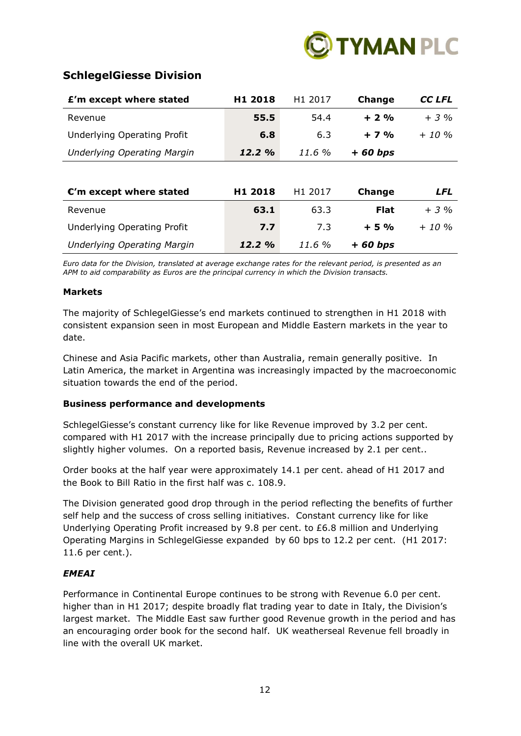

# **SchlegelGiesse Division**

| £'m except where stated            | H <sub>1</sub> 2018 | H <sub>1</sub> 2017 | <b>Change</b> | CC LFL     |
|------------------------------------|---------------------|---------------------|---------------|------------|
| Revenue                            | 55.5                | 54.4                | $+2%$         | $+3\%$     |
| <b>Underlying Operating Profit</b> | 6.8                 | 6.3                 | $+7%$         | $+ 10 \%$  |
| <b>Underlying Operating Margin</b> | 12.2%               | 11.6%               | $+60 bps$     |            |
|                                    |                     |                     |               |            |
| $C'm$ except where stated          | H <sub>1</sub> 2018 | H1 2017             | <b>Change</b> | <b>LFL</b> |
| Revenue                            | 63.1                | 63.3                | <b>Flat</b>   | $+3%$      |
| <b>Underlying Operating Profit</b> | 7.7                 | 7.3                 | $+5%$         | $+ 10 \%$  |
| <b>Underlying Operating Margin</b> | 12.2%               | 11.6%               | $+60 bps$     |            |

*Euro data for the Division, translated at average exchange rates for the relevant period, is presented as an APM to aid comparability as Euros are the principal currency in which the Division transacts.*

### **Markets**

The majority of SchlegelGiesse's end markets continued to strengthen in H1 2018 with consistent expansion seen in most European and Middle Eastern markets in the year to date.

Chinese and Asia Pacific markets, other than Australia, remain generally positive. In Latin America, the market in Argentina was increasingly impacted by the macroeconomic situation towards the end of the period.

## **Business performance and developments**

SchlegelGiesse's constant currency like for like Revenue improved by 3.2 per cent. compared with H1 2017 with the increase principally due to pricing actions supported by slightly higher volumes. On a reported basis, Revenue increased by 2.1 per cent..

Order books at the half year were approximately 14.1 per cent. ahead of H1 2017 and the Book to Bill Ratio in the first half was c. 108.9.

The Division generated good drop through in the period reflecting the benefits of further self help and the success of cross selling initiatives. Constant currency like for like Underlying Operating Profit increased by 9.8 per cent. to £6.8 million and Underlying Operating Margins in SchlegelGiesse expanded by 60 bps to 12.2 per cent. (H1 2017: 11.6 per cent.).

## *EMEAI*

Performance in Continental Europe continues to be strong with Revenue 6.0 per cent. higher than in H1 2017; despite broadly flat trading year to date in Italy, the Division's largest market. The Middle East saw further good Revenue growth in the period and has an encouraging order book for the second half. UK weatherseal Revenue fell broadly in line with the overall UK market.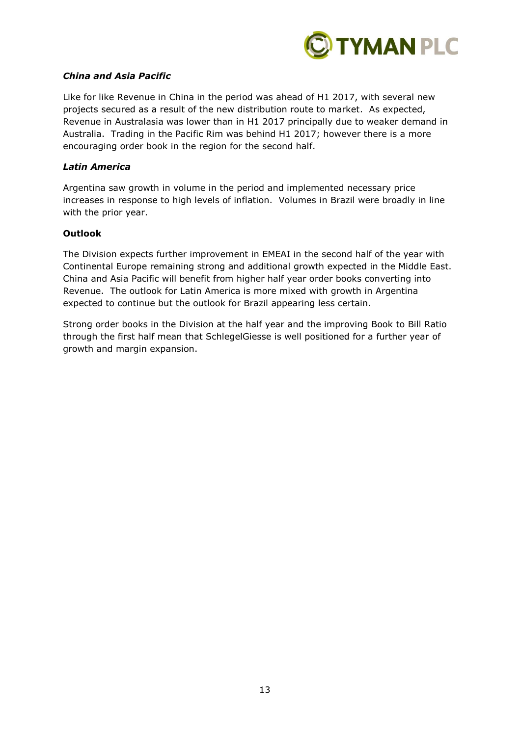

### *China and Asia Pacific*

Like for like Revenue in China in the period was ahead of H1 2017, with several new projects secured as a result of the new distribution route to market. As expected, Revenue in Australasia was lower than in H1 2017 principally due to weaker demand in Australia. Trading in the Pacific Rim was behind H1 2017; however there is a more encouraging order book in the region for the second half.

### *Latin America*

Argentina saw growth in volume in the period and implemented necessary price increases in response to high levels of inflation. Volumes in Brazil were broadly in line with the prior year.

### **Outlook**

The Division expects further improvement in EMEAI in the second half of the year with Continental Europe remaining strong and additional growth expected in the Middle East. China and Asia Pacific will benefit from higher half year order books converting into Revenue. The outlook for Latin America is more mixed with growth in Argentina expected to continue but the outlook for Brazil appearing less certain.

Strong order books in the Division at the half year and the improving Book to Bill Ratio through the first half mean that SchlegelGiesse is well positioned for a further year of growth and margin expansion.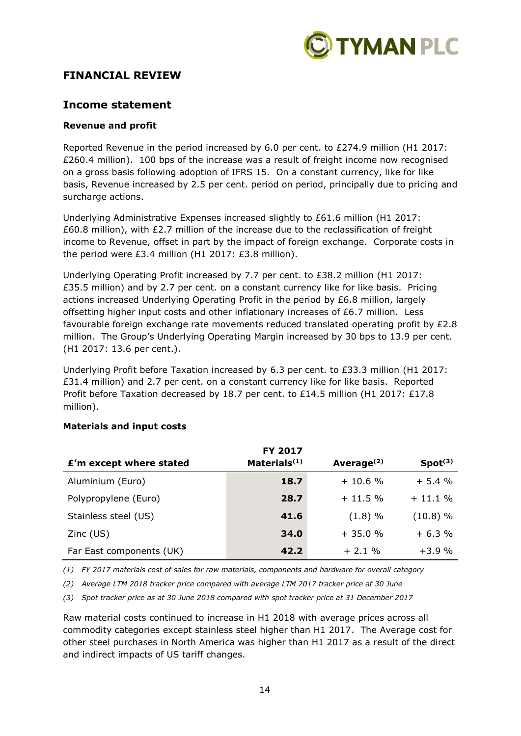

# **FINANCIAL REVIEW**

# **Income statement**

# **Revenue and profit**

Reported Revenue in the period increased by 6.0 per cent. to £274.9 million (H1 2017: £260.4 million). 100 bps of the increase was a result of freight income now recognised on a gross basis following adoption of IFRS 15. On a constant currency, like for like basis, Revenue increased by 2.5 per cent. period on period, principally due to pricing and surcharge actions.

Underlying Administrative Expenses increased slightly to £61.6 million (H1 2017: £60.8 million), with £2.7 million of the increase due to the reclassification of freight income to Revenue, offset in part by the impact of foreign exchange. Corporate costs in the period were £3.4 million (H1 2017: £3.8 million).

Underlying Operating Profit increased by 7.7 per cent. to £38.2 million (H1 2017: £35.5 million) and by 2.7 per cent. on a constant currency like for like basis. Pricing actions increased Underlying Operating Profit in the period by £6.8 million, largely offsetting higher input costs and other inflationary increases of £6.7 million. Less favourable foreign exchange rate movements reduced translated operating profit by  $£2.8$ million. The Group's Underlying Operating Margin increased by 30 bps to 13.9 per cent. (H1 2017: 13.6 per cent.).

Underlying Profit before Taxation increased by 6.3 per cent. to £33.3 million (H1 2017: £31.4 million) and 2.7 per cent. on a constant currency like for like basis. Reported Profit before Taxation decreased by 18.7 per cent. to £14.5 million (H1 2017: £17.8 million).

|                          | <b>FY 2017</b>           |               |                     |
|--------------------------|--------------------------|---------------|---------------------|
| £'m except where stated  | Materials <sup>(1)</sup> | Average $(2)$ | Spot <sup>(3)</sup> |
| Aluminium (Euro)         | 18.7                     | $+10.6%$      | $+5.4%$             |
| Polypropylene (Euro)     | 28.7                     | $+11.5%$      | $+11.1%$            |
| Stainless steel (US)     | 41.6                     | (1.8) %       | (10.8) %            |
| $Zinc$ (US)              | 34.0                     | $+35.0%$      | $+6.3%$             |
| Far East components (UK) | 42.2                     | $+2.1%$       | $+3.9%$             |

## **Materials and input costs**

*(1) FY 2017 materials cost of sales for raw materials, components and hardware for overall category*

*(2) Average LTM 2018 tracker price compared with average LTM 2017 tracker price at 30 June*

*(3) Spot tracker price as at 30 June 2018 compared with spot tracker price at 31 December 2017*

Raw material costs continued to increase in H1 2018 with average prices across all commodity categories except stainless steel higher than H1 2017. The Average cost for other steel purchases in North America was higher than H1 2017 as a result of the direct and indirect impacts of US tariff changes.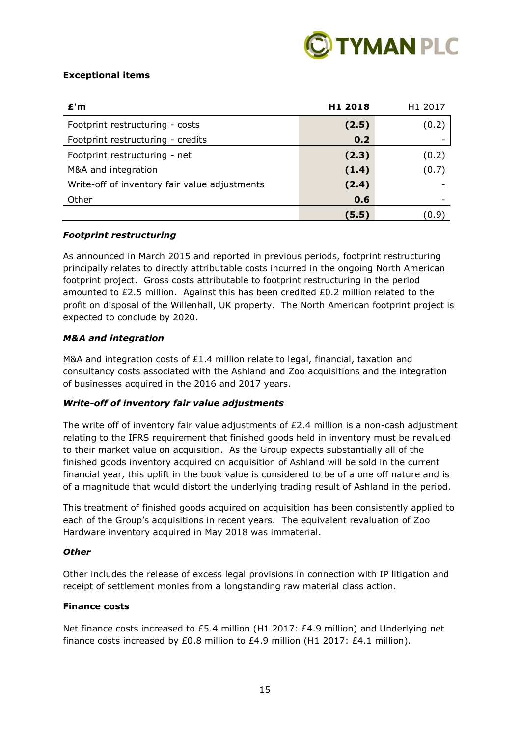

# **Exceptional items**

| E'm                                           | H1 2018 | H <sub>1</sub> 2017 |
|-----------------------------------------------|---------|---------------------|
| Footprint restructuring - costs               | (2.5)   | (0.2)               |
| Footprint restructuring - credits             | 0.2     |                     |
| Footprint restructuring - net                 | (2.3)   | (0.2)               |
| M&A and integration                           | (1.4)   | (0.7)               |
| Write-off of inventory fair value adjustments | (2.4)   |                     |
| Other                                         | 0.6     |                     |
|                                               | (5.5)   | 0.9                 |

## *Footprint restructuring*

As announced in March 2015 and reported in previous periods, footprint restructuring principally relates to directly attributable costs incurred in the ongoing North American footprint project. Gross costs attributable to footprint restructuring in the period amounted to  $£2.5$  million. Against this has been credited  $£0.2$  million related to the profit on disposal of the Willenhall, UK property. The North American footprint project is expected to conclude by 2020.

### *M&A and integration*

M&A and integration costs of £1.4 million relate to legal, financial, taxation and consultancy costs associated with the Ashland and Zoo acquisitions and the integration of businesses acquired in the 2016 and 2017 years.

## *Write-off of inventory fair value adjustments*

The write off of inventory fair value adjustments of  $E2.4$  million is a non-cash adjustment relating to the IFRS requirement that finished goods held in inventory must be revalued to their market value on acquisition. As the Group expects substantially all of the finished goods inventory acquired on acquisition of Ashland will be sold in the current financial year, this uplift in the book value is considered to be of a one off nature and is of a magnitude that would distort the underlying trading result of Ashland in the period.

This treatment of finished goods acquired on acquisition has been consistently applied to each of the Group's acquisitions in recent years. The equivalent revaluation of Zoo Hardware inventory acquired in May 2018 was immaterial.

### *Other*

Other includes the release of excess legal provisions in connection with IP litigation and receipt of settlement monies from a longstanding raw material class action.

### **Finance costs**

Net finance costs increased to £5.4 million (H1 2017: £4.9 million) and Underlying net finance costs increased by £0.8 million to £4.9 million (H1 2017: £4.1 million).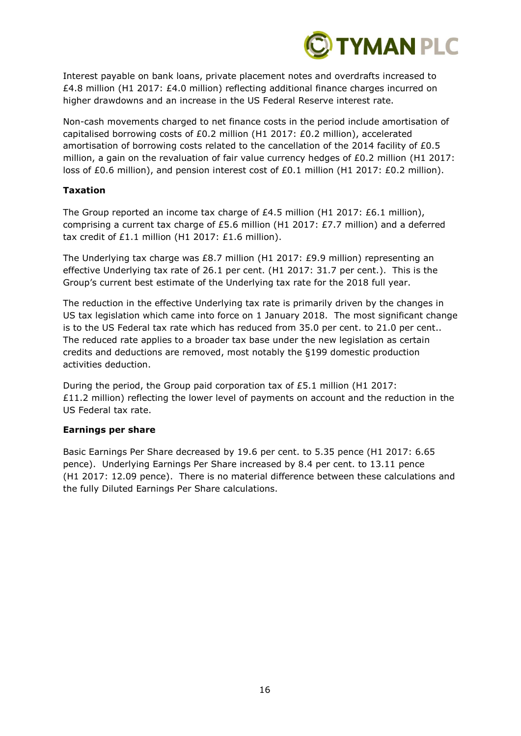

Interest payable on bank loans, private placement notes and overdrafts increased to £4.8 million (H1 2017: £4.0 million) reflecting additional finance charges incurred on higher drawdowns and an increase in the US Federal Reserve interest rate.

Non-cash movements charged to net finance costs in the period include amortisation of capitalised borrowing costs of £0.2 million (H1 2017: £0.2 million), accelerated amortisation of borrowing costs related to the cancellation of the 2014 facility of £0.5 million, a gain on the revaluation of fair value currency hedges of £0.2 million (H1 2017: loss of £0.6 million), and pension interest cost of £0.1 million (H1 2017: £0.2 million).

### **Taxation**

The Group reported an income tax charge of £4.5 million (H1 2017: £6.1 million), comprising a current tax charge of £5.6 million (H1 2017: £7.7 million) and a deferred tax credit of £1.1 million (H1 2017: £1.6 million).

The Underlying tax charge was £8.7 million (H1 2017: £9.9 million) representing an effective Underlying tax rate of 26.1 per cent. (H1 2017: 31.7 per cent.). This is the Group's current best estimate of the Underlying tax rate for the 2018 full year.

The reduction in the effective Underlying tax rate is primarily driven by the changes in US tax legislation which came into force on 1 January 2018. The most significant change is to the US Federal tax rate which has reduced from 35.0 per cent. to 21.0 per cent.. The reduced rate applies to a broader tax base under the new legislation as certain credits and deductions are removed, most notably the §199 domestic production activities deduction.

During the period, the Group paid corporation tax of £5.1 million (H1 2017: £11.2 million) reflecting the lower level of payments on account and the reduction in the US Federal tax rate.

### **Earnings per share**

Basic Earnings Per Share decreased by 19.6 per cent. to 5.35 pence (H1 2017: 6.65 pence). Underlying Earnings Per Share increased by 8.4 per cent. to 13.11 pence (H1 2017: 12.09 pence). There is no material difference between these calculations and the fully Diluted Earnings Per Share calculations.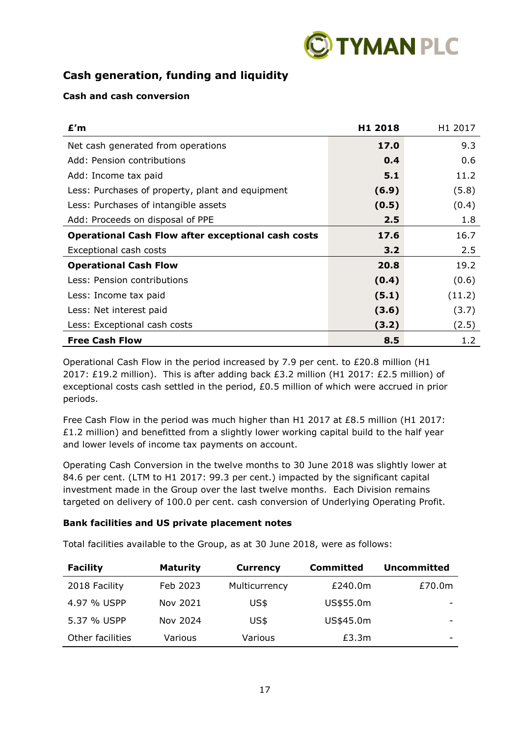

# **Cash generation, funding and liquidity**

# **Cash and cash conversion**

| £'m                                                       | H <sub>1</sub> 2018 | H1 2017 |
|-----------------------------------------------------------|---------------------|---------|
| Net cash generated from operations                        | 17.0                | 9.3     |
| Add: Pension contributions                                | 0.4                 | 0.6     |
| Add: Income tax paid                                      | 5.1                 | 11.2    |
| Less: Purchases of property, plant and equipment          | (6.9)               | (5.8)   |
| Less: Purchases of intangible assets                      | (0.5)               | (0.4)   |
| Add: Proceeds on disposal of PPE                          | 2.5                 | 1.8     |
| <b>Operational Cash Flow after exceptional cash costs</b> | 17.6                | 16.7    |
| Exceptional cash costs                                    | 3.2                 | 2.5     |
| <b>Operational Cash Flow</b>                              | 20.8                | 19.2    |
| Less: Pension contributions                               | (0.4)               | (0.6)   |
| Less: Income tax paid                                     | (5.1)               | (11.2)  |
| Less: Net interest paid                                   | (3.6)               | (3.7)   |
| Less: Exceptional cash costs                              | (3.2)               | (2.5)   |
| <b>Free Cash Flow</b>                                     | 8.5                 | 1.2     |

Operational Cash Flow in the period increased by 7.9 per cent. to £20.8 million (H1 2017: £19.2 million). This is after adding back £3.2 million (H1 2017: £2.5 million) of exceptional costs cash settled in the period, £0.5 million of which were accrued in prior periods.

Free Cash Flow in the period was much higher than H1 2017 at £8.5 million (H1 2017:  $£1.2$  million) and benefitted from a slightly lower working capital build to the half year and lower levels of income tax payments on account.

Operating Cash Conversion in the twelve months to 30 June 2018 was slightly lower at 84.6 per cent. (LTM to H1 2017: 99.3 per cent.) impacted by the significant capital investment made in the Group over the last twelve months. Each Division remains targeted on delivery of 100.0 per cent. cash conversion of Underlying Operating Profit.

## **Bank facilities and US private placement notes**

Total facilities available to the Group, as at 30 June 2018, were as follows:

| <b>Facility</b>  | <b>Maturity</b> | <b>Currency</b> | <b>Committed</b> | <b>Uncommitted</b> |
|------------------|-----------------|-----------------|------------------|--------------------|
| 2018 Facility    | Feb 2023        | Multicurrency   | £240.0m          | £70.0m             |
| 4.97 % USPP      | Nov 2021        | US\$            | US\$55.0m        |                    |
| 5.37 % USPP      | Nov 2024        | US\$            | US\$45.0m        |                    |
| Other facilities | Various         | Various         | £3.3m            |                    |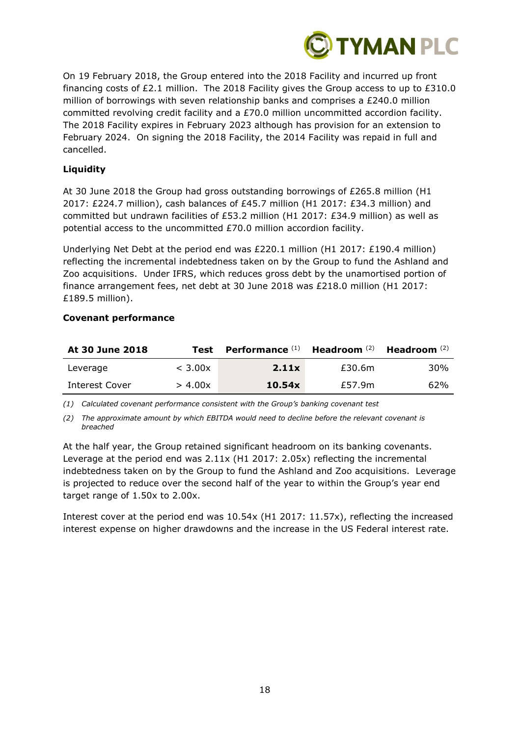

On 19 February 2018, the Group entered into the 2018 Facility and incurred up front financing costs of £2.1 million. The 2018 Facility gives the Group access to up to £310.0 million of borrowings with seven relationship banks and comprises a £240.0 million committed revolving credit facility and a £70.0 million uncommitted accordion facility. The 2018 Facility expires in February 2023 although has provision for an extension to February 2024. On signing the 2018 Facility, the 2014 Facility was repaid in full and cancelled.

# **Liquidity**

At 30 June 2018 the Group had gross outstanding borrowings of £265.8 million (H1 2017: £224.7 million), cash balances of £45.7 million (H1 2017: £34.3 million) and committed but undrawn facilities of £53.2 million (H1 2017: £34.9 million) as well as potential access to the uncommitted £70.0 million accordion facility.

Underlying Net Debt at the period end was £220.1 million (H1 2017: £190.4 million) reflecting the incremental indebtedness taken on by the Group to fund the Ashland and Zoo acquisitions. Under IFRS, which reduces gross debt by the unamortised portion of finance arrangement fees, net debt at 30 June 2018 was £218.0 million (H1 2017: £189.5 million).

| At 30 June 2018 | Test    | Performance (1) Headroom (2) |        | Headroom $^{(2)}$ |
|-----------------|---------|------------------------------|--------|-------------------|
| Leverage        | < 3.00x | 2.11x                        | £30.6m | 30%               |
| Interest Cover  | > 4.00x | 10.54x                       | £57.9m | 62%               |

### **Covenant performance**

*(1) Calculated covenant performance consistent with the Group's banking covenant test*

*(2) The approximate amount by which EBITDA would need to decline before the relevant covenant is breached*

At the half year, the Group retained significant headroom on its banking covenants. Leverage at the period end was 2.11x (H1 2017: 2.05x) reflecting the incremental indebtedness taken on by the Group to fund the Ashland and Zoo acquisitions. Leverage is projected to reduce over the second half of the year to within the Group's year end target range of 1.50x to 2.00x.

Interest cover at the period end was 10.54x (H1 2017: 11.57x), reflecting the increased interest expense on higher drawdowns and the increase in the US Federal interest rate.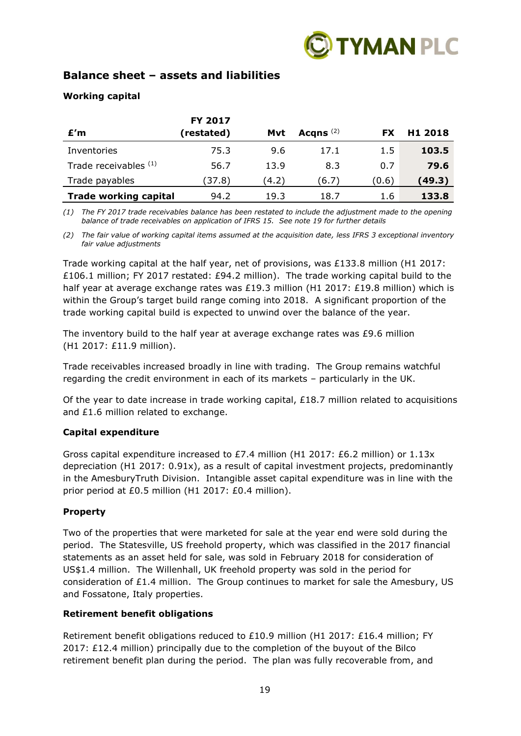

# **Balance sheet – assets and liabilities**

# **Working capital**

|                              | FY 2017    |       |             |           |                     |
|------------------------------|------------|-------|-------------|-----------|---------------------|
| E'm                          | (restated) | Mvt   | Acqns $(2)$ | <b>FX</b> | H <sub>1</sub> 2018 |
| Inventories                  | 75.3       | 9.6   | 17.1        | 1.5       | 103.5               |
| Trade receivables (1)        | 56.7       | 13.9  | 8.3         | 0.7       | 79.6                |
| Trade payables               | (37.8)     | (4.2) | (6.7)       | (0.6)     | (49.3)              |
| <b>Trade working capital</b> | 94.2       | 19.3  | 18.7        | 1.6       | 133.8               |

*(1) The FY 2017 trade receivables balance has been restated to include the adjustment made to the opening balance of trade receivables on application of IFRS 15. See note 19 for further details*

*(2) The fair value of working capital items assumed at the acquisition date, less IFRS 3 exceptional inventory fair value adjustments*

Trade working capital at the half year, net of provisions, was £133.8 million (H1 2017: £106.1 million; FY 2017 restated: £94.2 million). The trade working capital build to the half year at average exchange rates was £19.3 million (H1 2017: £19.8 million) which is within the Group's target build range coming into 2018. A significant proportion of the trade working capital build is expected to unwind over the balance of the year.

The inventory build to the half year at average exchange rates was £9.6 million (H1 2017: £11.9 million).

Trade receivables increased broadly in line with trading. The Group remains watchful regarding the credit environment in each of its markets – particularly in the UK.

Of the year to date increase in trade working capital,  $£18.7$  million related to acquisitions and £1.6 million related to exchange.

## **Capital expenditure**

Gross capital expenditure increased to £7.4 million (H1 2017: £6.2 million) or 1.13x depreciation (H1 2017: 0.91x), as a result of capital investment projects, predominantly in the AmesburyTruth Division. Intangible asset capital expenditure was in line with the prior period at £0.5 million (H1 2017: £0.4 million).

## **Property**

Two of the properties that were marketed for sale at the year end were sold during the period. The Statesville, US freehold property, which was classified in the 2017 financial statements as an asset held for sale, was sold in February 2018 for consideration of US\$1.4 million. The Willenhall, UK freehold property was sold in the period for consideration of  $£1.4$  million. The Group continues to market for sale the Amesbury, US and Fossatone, Italy properties.

### **Retirement benefit obligations**

Retirement benefit obligations reduced to £10.9 million (H1 2017: £16.4 million; FY 2017: £12.4 million) principally due to the completion of the buyout of the Bilco retirement benefit plan during the period. The plan was fully recoverable from, and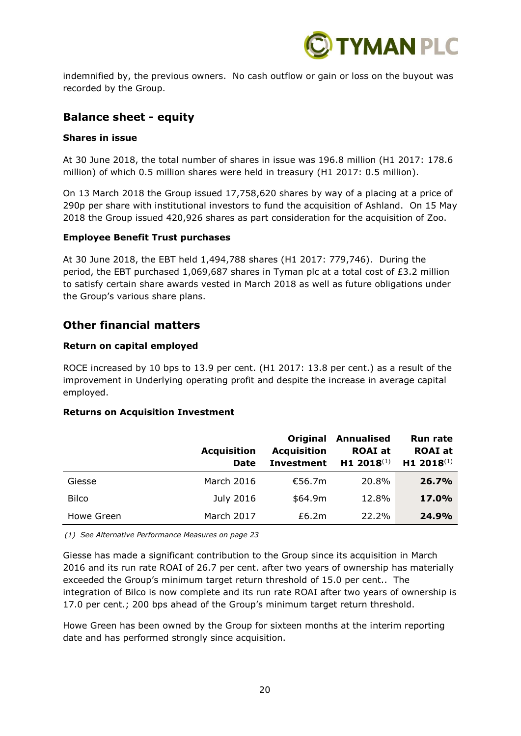

indemnified by, the previous owners. No cash outflow or gain or loss on the buyout was recorded by the Group.

# **Balance sheet - equity**

### **Shares in issue**

At 30 June 2018, the total number of shares in issue was 196.8 million (H1 2017: 178.6 million) of which 0.5 million shares were held in treasury (H1 2017: 0.5 million).

On 13 March 2018 the Group issued 17,758,620 shares by way of a placing at a price of 290p per share with institutional investors to fund the acquisition of Ashland. On 15 May 2018 the Group issued 420,926 shares as part consideration for the acquisition of Zoo.

### **Employee Benefit Trust purchases**

At 30 June 2018, the EBT held 1,494,788 shares (H1 2017: 779,746). During the period, the EBT purchased 1,069,687 shares in Tyman plc at a total cost of £3.2 million to satisfy certain share awards vested in March 2018 as well as future obligations under the Group's various share plans.

# **Other financial matters**

### **Return on capital employed**

ROCE increased by 10 bps to 13.9 per cent. (H1 2017: 13.8 per cent.) as a result of the improvement in Underlying operating profit and despite the increase in average capital employed.

## **Returns on Acquisition Investment**

|              | <b>Acquisition</b><br>Date | Original<br><b>Acquisition</b><br><b>Investment</b> | <b>Annualised</b><br><b>ROAI</b> at<br>H1 2018 $(1)$ | <b>Run rate</b><br><b>ROAI</b> at<br>H1 2018 $(1)$ |
|--------------|----------------------------|-----------------------------------------------------|------------------------------------------------------|----------------------------------------------------|
| Giesse       | March 2016                 | €56.7m                                              | 20.8%                                                | 26.7%                                              |
| <b>Bilco</b> | July 2016                  | \$64.9m                                             | 12.8%                                                | 17.0%                                              |
| Howe Green   | March 2017                 | £6.2m                                               | 22.2%                                                | 24.9%                                              |

*(1) See Alternative Performance Measures on page 23*

Giesse has made a significant contribution to the Group since its acquisition in March 2016 and its run rate ROAI of 26.7 per cent. after two years of ownership has materially exceeded the Group's minimum target return threshold of 15.0 per cent.. The integration of Bilco is now complete and its run rate ROAI after two years of ownership is 17.0 per cent.; 200 bps ahead of the Group's minimum target return threshold.

Howe Green has been owned by the Group for sixteen months at the interim reporting date and has performed strongly since acquisition.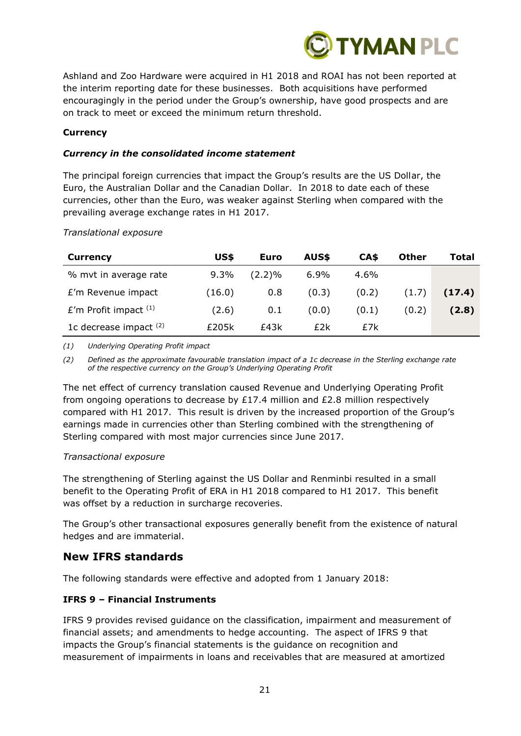

Ashland and Zoo Hardware were acquired in H1 2018 and ROAI has not been reported at the interim reporting date for these businesses. Both acquisitions have performed encouragingly in the period under the Group's ownership, have good prospects and are on track to meet or exceed the minimum return threshold.

### **Currency**

### *Currency in the consolidated income statement*

The principal foreign currencies that impact the Group's results are the US Dollar, the Euro, the Australian Dollar and the Canadian Dollar. In 2018 to date each of these currencies, other than the Euro, was weaker against Sterling when compared with the prevailing average exchange rates in H1 2017.

*Translational exposure*

| <b>Currency</b>           | US\$    | Euro      | AUS\$   | CA\$    | <b>Other</b> | Total  |
|---------------------------|---------|-----------|---------|---------|--------------|--------|
| % mvt in average rate     | $9.3\%$ | $(2.2)\%$ | $6.9\%$ | $4.6\%$ |              |        |
| £'m Revenue impact        | (16.0)  | 0.8       | (0.3)   | (0.2)   | (1.7)        | (17.4) |
| $E'm$ Profit impact $(1)$ | (2.6)   | 0.1       | (0.0)   | (0,1)   | (0.2)        | (2.8)  |
| 1c decrease impact $(2)$  | £205k   | f43k      | £2k     | £7k     |              |        |

*(1) Underlying Operating Profit impact*

*(2) Defined as the approximate favourable translation impact of a 1c decrease in the Sterling exchange rate of the respective currency on the Group's Underlying Operating Profit*

The net effect of currency translation caused Revenue and Underlying Operating Profit from ongoing operations to decrease by £17.4 million and £2.8 million respectively compared with H1 2017. This result is driven by the increased proportion of the Group's earnings made in currencies other than Sterling combined with the strengthening of Sterling compared with most major currencies since June 2017.

### *Transactional exposure*

The strengthening of Sterling against the US Dollar and Renminbi resulted in a small benefit to the Operating Profit of ERA in H1 2018 compared to H1 2017. This benefit was offset by a reduction in surcharge recoveries.

The Group's other transactional exposures generally benefit from the existence of natural hedges and are immaterial.

# **New IFRS standards**

The following standards were effective and adopted from 1 January 2018:

## **IFRS 9 – Financial Instruments**

IFRS 9 provides revised guidance on the classification, impairment and measurement of financial assets; and amendments to hedge accounting. The aspect of IFRS 9 that impacts the Group's financial statements is the guidance on recognition and measurement of impairments in loans and receivables that are measured at amortized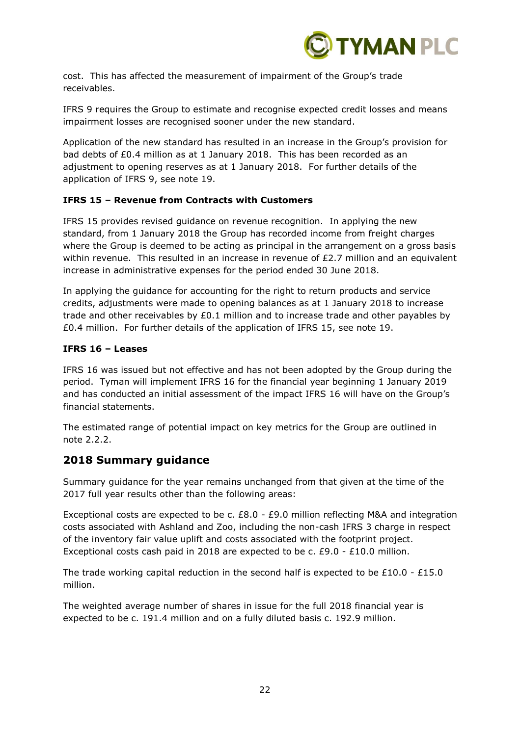

cost. This has affected the measurement of impairment of the Group's trade receivables.

IFRS 9 requires the Group to estimate and recognise expected credit losses and means impairment losses are recognised sooner under the new standard.

Application of the new standard has resulted in an increase in the Group's provision for bad debts of £0.4 million as at 1 January 2018. This has been recorded as an adjustment to opening reserves as at 1 January 2018. For further details of the application of IFRS 9, see note 19.

## **IFRS 15 – Revenue from Contracts with Customers**

IFRS 15 provides revised guidance on revenue recognition. In applying the new standard, from 1 January 2018 the Group has recorded income from freight charges where the Group is deemed to be acting as principal in the arrangement on a gross basis within revenue. This resulted in an increase in revenue of £2.7 million and an equivalent increase in administrative expenses for the period ended 30 June 2018.

In applying the guidance for accounting for the right to return products and service credits, adjustments were made to opening balances as at 1 January 2018 to increase trade and other receivables by £0.1 million and to increase trade and other payables by £0.4 million. For further details of the application of IFRS 15, see note 19.

### **IFRS 16 – Leases**

IFRS 16 was issued but not effective and has not been adopted by the Group during the period. Tyman will implement IFRS 16 for the financial year beginning 1 January 2019 and has conducted an initial assessment of the impact IFRS 16 will have on the Group's financial statements.

The estimated range of potential impact on key metrics for the Group are outlined in note 2.2.2.

# **2018 Summary guidance**

Summary guidance for the year remains unchanged from that given at the time of the 2017 full year results other than the following areas:

Exceptional costs are expected to be c. £8.0 - £9.0 million reflecting M&A and integration costs associated with Ashland and Zoo, including the non-cash IFRS 3 charge in respect of the inventory fair value uplift and costs associated with the footprint project. Exceptional costs cash paid in 2018 are expected to be c.  $£9.0 - £10.0$  million.

The trade working capital reduction in the second half is expected to be £10.0 - £15.0 million.

The weighted average number of shares in issue for the full 2018 financial year is expected to be c. 191.4 million and on a fully diluted basis c. 192.9 million.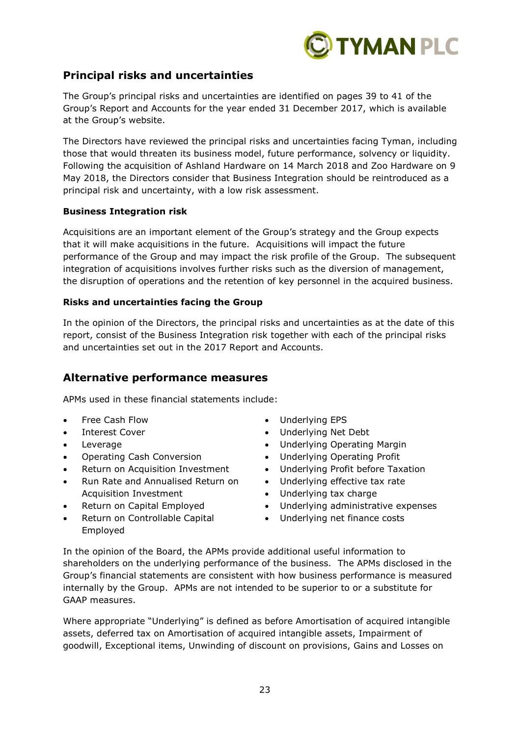

# **Principal risks and uncertainties**

The Group's principal risks and uncertainties are identified on pages 39 to 41 of the Group's Report and Accounts for the year ended 31 December 2017, which is available at the Group's website.

The Directors have reviewed the principal risks and uncertainties facing Tyman, including those that would threaten its business model, future performance, solvency or liquidity. Following the acquisition of Ashland Hardware on 14 March 2018 and Zoo Hardware on 9 May 2018, the Directors consider that Business Integration should be reintroduced as a principal risk and uncertainty, with a low risk assessment.

## **Business Integration risk**

Acquisitions are an important element of the Group's strategy and the Group expects that it will make acquisitions in the future. Acquisitions will impact the future performance of the Group and may impact the risk profile of the Group. The subsequent integration of acquisitions involves further risks such as the diversion of management, the disruption of operations and the retention of key personnel in the acquired business.

### **Risks and uncertainties facing the Group**

In the opinion of the Directors, the principal risks and uncertainties as at the date of this report, consist of the Business Integration risk together with each of the principal risks and uncertainties set out in the 2017 Report and Accounts.

# **Alternative performance measures**

APMs used in these financial statements include:

- Free Cash Flow
- Interest Cover
- **Leverage**
- Operating Cash Conversion
- Return on Acquisition Investment
- Run Rate and Annualised Return on Acquisition Investment
- Return on Capital Employed
- Return on Controllable Capital Employed
- Underlying EPS
- Underlying Net Debt
- Underlying Operating Margin
- Underlying Operating Profit
- Underlying Profit before Taxation
- Underlying effective tax rate
- Underlying tax charge
- Underlying administrative expenses
- Underlying net finance costs

In the opinion of the Board, the APMs provide additional useful information to shareholders on the underlying performance of the business. The APMs disclosed in the Group's financial statements are consistent with how business performance is measured internally by the Group. APMs are not intended to be superior to or a substitute for GAAP measures.

Where appropriate "Underlying" is defined as before Amortisation of acquired intangible assets, deferred tax on Amortisation of acquired intangible assets, Impairment of goodwill, Exceptional items, Unwinding of discount on provisions, Gains and Losses on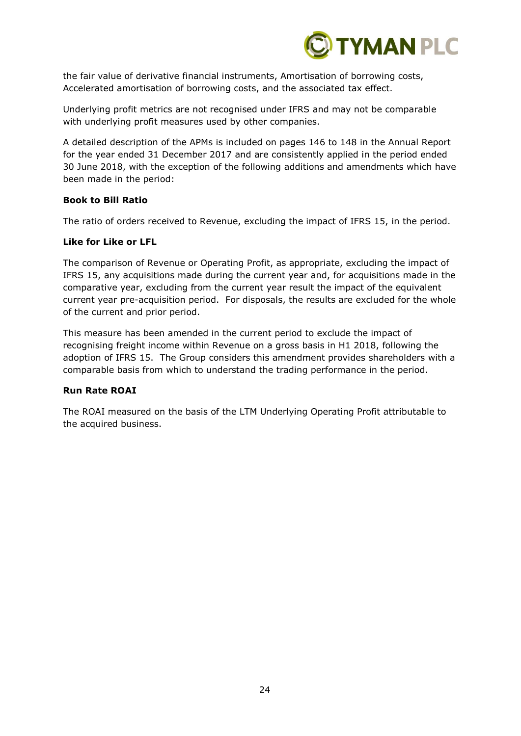

the fair value of derivative financial instruments, Amortisation of borrowing costs, Accelerated amortisation of borrowing costs, and the associated tax effect.

Underlying profit metrics are not recognised under IFRS and may not be comparable with underlying profit measures used by other companies.

A detailed description of the APMs is included on pages 146 to 148 in the Annual Report for the year ended 31 December 2017 and are consistently applied in the period ended 30 June 2018, with the exception of the following additions and amendments which have been made in the period:

### **Book to Bill Ratio**

The ratio of orders received to Revenue, excluding the impact of IFRS 15, in the period.

## **Like for Like or LFL**

The comparison of Revenue or Operating Profit, as appropriate, excluding the impact of IFRS 15, any acquisitions made during the current year and, for acquisitions made in the comparative year, excluding from the current year result the impact of the equivalent current year pre-acquisition period. For disposals, the results are excluded for the whole of the current and prior period.

This measure has been amended in the current period to exclude the impact of recognising freight income within Revenue on a gross basis in H1 2018, following the adoption of IFRS 15. The Group considers this amendment provides shareholders with a comparable basis from which to understand the trading performance in the period.

## **Run Rate ROAI**

The ROAI measured on the basis of the LTM Underlying Operating Profit attributable to the acquired business.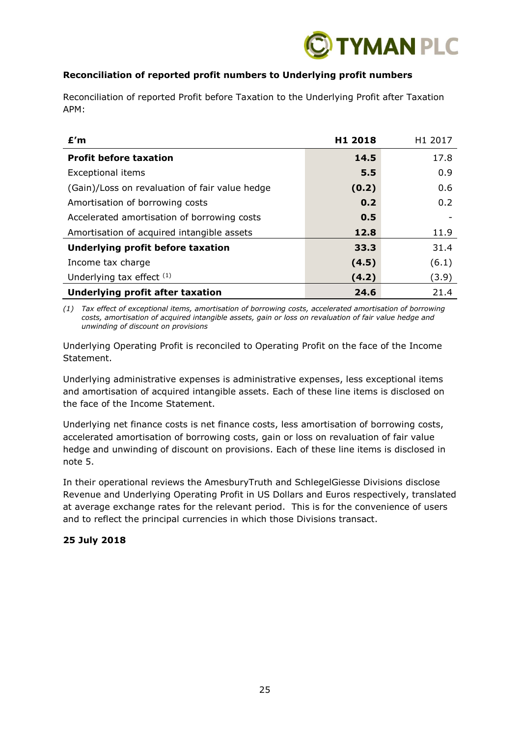

# **Reconciliation of reported profit numbers to Underlying profit numbers**

Reconciliation of reported Profit before Taxation to the Underlying Profit after Taxation APM:

| £'m                                            | H <sub>1</sub> 2018 | H <sub>1</sub> 2017 |
|------------------------------------------------|---------------------|---------------------|
| <b>Profit before taxation</b>                  | 14.5                | 17.8                |
| <b>Exceptional items</b>                       | 5.5                 | 0.9                 |
| (Gain)/Loss on revaluation of fair value hedge | (0.2)               | 0.6                 |
| Amortisation of borrowing costs                | 0.2                 | 0.2                 |
| Accelerated amortisation of borrowing costs    | 0.5                 |                     |
| Amortisation of acquired intangible assets     | 12.8                | 11.9                |
| Underlying profit before taxation              | 33.3                | 31.4                |
| Income tax charge                              | (4.5)               | (6.1)               |
| Underlying tax effect $(1)$                    | (4.2)               | (3.9)               |
| <b>Underlying profit after taxation</b>        | 24.6                | 21.4                |

*(1) Tax effect of exceptional items, amortisation of borrowing costs, accelerated amortisation of borrowing costs, amortisation of acquired intangible assets, gain or loss on revaluation of fair value hedge and unwinding of discount on provisions*

Underlying Operating Profit is reconciled to Operating Profit on the face of the Income Statement.

Underlying administrative expenses is administrative expenses, less exceptional items and amortisation of acquired intangible assets. Each of these line items is disclosed on the face of the Income Statement.

Underlying net finance costs is net finance costs, less amortisation of borrowing costs, accelerated amortisation of borrowing costs, gain or loss on revaluation of fair value hedge and unwinding of discount on provisions. Each of these line items is disclosed in note 5.

In their operational reviews the AmesburyTruth and SchlegelGiesse Divisions disclose Revenue and Underlying Operating Profit in US Dollars and Euros respectively, translated at average exchange rates for the relevant period. This is for the convenience of users and to reflect the principal currencies in which those Divisions transact.

## **25 July 2018**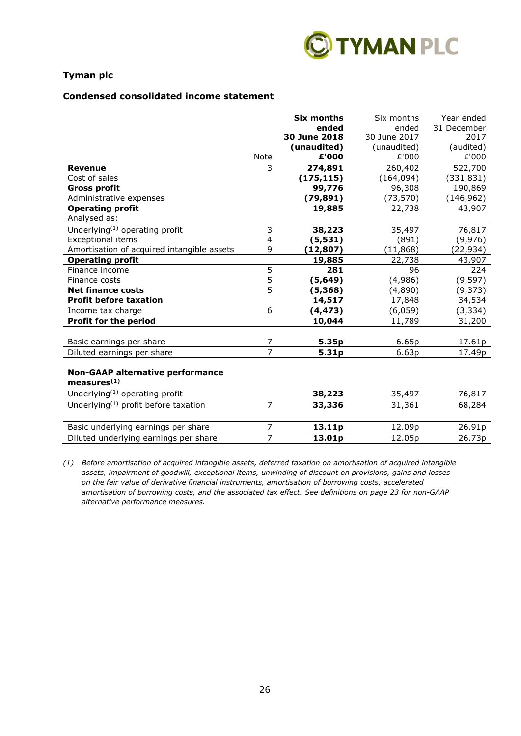

### **Condensed consolidated income statement**

|                                                               |                | <b>Six months</b> | Six months   | Year ended  |
|---------------------------------------------------------------|----------------|-------------------|--------------|-------------|
|                                                               |                | ended             | ended        | 31 December |
|                                                               |                | 30 June 2018      | 30 June 2017 | 2017        |
|                                                               |                | (unaudited)       | (unaudited)  | (audited)   |
|                                                               | Note           | £'000             | £'000        | £'000       |
| <b>Revenue</b>                                                | 3              | 274,891           | 260,402      | 522,700     |
| Cost of sales                                                 |                | (175, 115)        | (164, 094)   | (331, 831)  |
| <b>Gross profit</b>                                           |                | 99,776            | 96,308       | 190,869     |
| Administrative expenses                                       |                | (79,891)          | (73, 570)    | (146, 962)  |
| <b>Operating profit</b>                                       |                | 19,885            | 22,738       | 43,907      |
| Analysed as:                                                  |                |                   |              |             |
| Underlying <sup>(1)</sup> operating profit                    | 3              | 38,223            | 35,497       | 76,817      |
| Exceptional items                                             | 4              | (5, 531)          | (891)        | (9,976)     |
| Amortisation of acquired intangible assets                    | 9              | (12, 807)         | (11, 868)    | (22, 934)   |
| <b>Operating profit</b>                                       |                | 19,885            | 22,738       | 43,907      |
| Finance income                                                | 5              | 281               | 96           | 224         |
| Finance costs                                                 | 5              | (5,649)           | (4,986)      | (9, 597)    |
| <b>Net finance costs</b>                                      | $\overline{5}$ | (5, 368)          | (4,890)      | (9, 373)    |
| <b>Profit before taxation</b>                                 |                | 14,517            | 17,848       | 34,534      |
| Income tax charge                                             | 6              | (4, 473)          | (6,059)      | (3, 334)    |
| <b>Profit for the period</b>                                  |                | 10,044            | 11,789       | 31,200      |
|                                                               |                |                   |              |             |
| Basic earnings per share                                      | 7              | 5.35p             | 6.65p        | 17.61p      |
| Diluted earnings per share                                    | $\overline{7}$ | 5.31p             | 6.63p        | 17.49p      |
| <b>Non-GAAP alternative performance</b>                       |                |                   |              |             |
| measures <sup>(1)</sup>                                       |                |                   |              |             |
| Underlying <sup>(1)</sup> operating profit                    |                | 38,223            | 35,497       | 76,817      |
| Underlying <sup><math>(1)</math></sup> profit before taxation | $\overline{7}$ | 33,336            | 31,361       | 68,284      |
|                                                               |                |                   |              |             |
| Basic underlying earnings per share                           | 7              | 13.11p            | 12.09p       | 26.91p      |
| Diluted underlying earnings per share                         | 7              | 13.01p            | 12.05p       | 26.73p      |

*(1) Before amortisation of acquired intangible assets, deferred taxation on amortisation of acquired intangible assets, impairment of goodwill, exceptional items, unwinding of discount on provisions, gains and losses on the fair value of derivative financial instruments, amortisation of borrowing costs, accelerated amortisation of borrowing costs, and the associated tax effect. See definitions on page 23 for non-GAAP alternative performance measures.*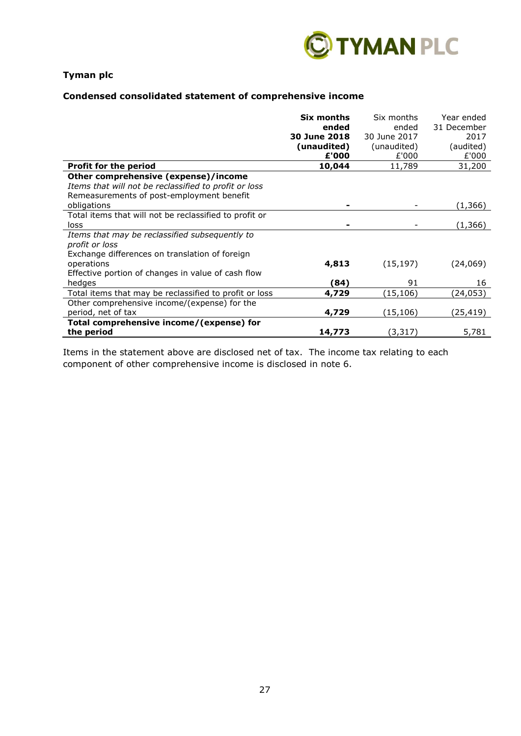

# **Condensed consolidated statement of comprehensive income**

|                                                        | Six months   | Six months   | Year ended  |
|--------------------------------------------------------|--------------|--------------|-------------|
|                                                        | ended        | ended        | 31 December |
|                                                        | 30 June 2018 | 30 June 2017 | 2017        |
|                                                        | (unaudited)  | (unaudited)  | (audited)   |
|                                                        | £'000        | £'000        | £'000       |
| <b>Profit for the period</b>                           | 10,044       | 11,789       | 31,200      |
| Other comprehensive (expense)/income                   |              |              |             |
| Items that will not be reclassified to profit or loss  |              |              |             |
| Remeasurements of post-employment benefit              |              |              |             |
| obligations                                            |              |              | (1,366)     |
| Total items that will not be reclassified to profit or |              |              |             |
| loss                                                   |              |              | (1, 366)    |
| Items that may be reclassified subsequently to         |              |              |             |
| profit or loss                                         |              |              |             |
| Exchange differences on translation of foreign         |              |              |             |
| operations                                             | 4,813        | (15, 197)    | (24,069)    |
| Effective portion of changes in value of cash flow     |              |              |             |
| hedges                                                 | (84)         | 91           | 16          |
| Total items that may be reclassified to profit or loss | 4,729        | (15,106)     | (24,053)    |
| Other comprehensive income/(expense) for the           |              |              |             |
| period, net of tax                                     | 4,729        | (15, 106)    | (25,419)    |
| Total comprehensive income/(expense) for               |              |              |             |
| the period                                             | 14,773       | (3, 317)     | 5,781       |

Items in the statement above are disclosed net of tax. The income tax relating to each component of other comprehensive income is disclosed in note 6.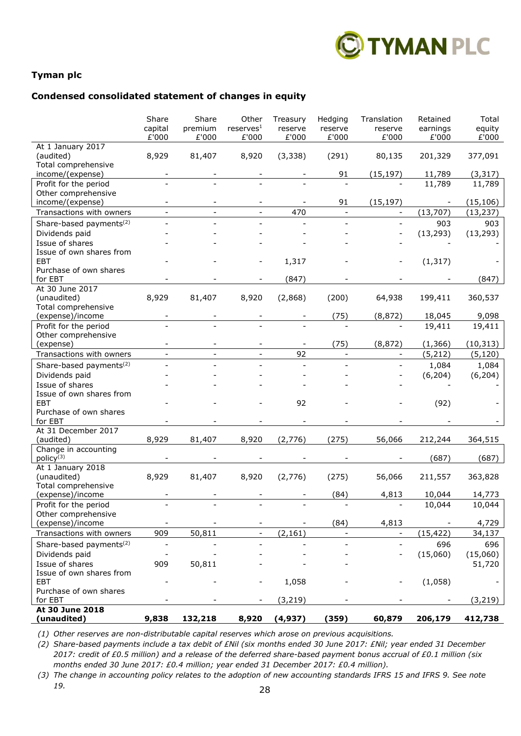

### **Condensed consolidated statement of changes in equity**

|                                              | Share<br>capital<br>£'000 | Share<br>premium<br>£'000 | Other<br>reserves <sup>1</sup><br>£'000 | Treasury<br>reserve<br>£'000 | Hedging<br>reserve<br>£'000 | Translation<br>reserve<br>£'000 | Retained<br>earnings<br>£'000 | Total<br>equity<br>£'000 |
|----------------------------------------------|---------------------------|---------------------------|-----------------------------------------|------------------------------|-----------------------------|---------------------------------|-------------------------------|--------------------------|
| At 1 January 2017<br>(audited)               | 8,929                     | 81,407                    | 8,920                                   | (3, 338)                     | (291)                       | 80,135                          | 201,329                       | 377,091                  |
| Total comprehensive                          |                           |                           |                                         |                              |                             |                                 |                               |                          |
| income/(expense)                             |                           |                           |                                         |                              | 91                          | (15, 197)                       | 11,789                        | (3, 317)                 |
| Profit for the period<br>Other comprehensive |                           |                           |                                         |                              |                             |                                 | 11,789                        | 11,789                   |
| income/(expense)                             |                           |                           |                                         |                              | 91                          | (15, 197)                       |                               | (15, 106)                |
| Transactions with owners                     |                           | $\overline{a}$            |                                         | 470                          | $\mathbf{r}$                | $\qquad \qquad -$               | (13, 707)                     | (13, 237)                |
| Share-based payments <sup>(2)</sup>          |                           |                           |                                         |                              |                             |                                 | 903                           | 903                      |
| Dividends paid                               |                           |                           |                                         |                              |                             |                                 | (13, 293)                     | (13, 293)                |
| Issue of shares                              |                           |                           |                                         |                              |                             |                                 |                               |                          |
| Issue of own shares from                     |                           |                           |                                         |                              |                             |                                 |                               |                          |
| <b>EBT</b>                                   |                           |                           |                                         | 1,317                        |                             |                                 | (1, 317)                      |                          |
| Purchase of own shares                       |                           |                           |                                         |                              |                             |                                 |                               |                          |
| for EBT<br>At 30 June 2017                   |                           |                           |                                         | (847)                        |                             |                                 |                               | (847)                    |
| (unaudited)                                  | 8,929                     | 81,407                    | 8,920                                   | (2,868)                      | (200)                       | 64,938                          | 199,411                       | 360,537                  |
| Total comprehensive                          |                           |                           |                                         |                              |                             |                                 |                               |                          |
| (expense)/income                             |                           |                           |                                         |                              | (75)                        | (8, 872)                        | 18,045                        | 9,098                    |
| Profit for the period                        |                           |                           |                                         |                              |                             |                                 | 19,411                        | 19,411                   |
| Other comprehensive                          |                           |                           |                                         |                              |                             |                                 |                               |                          |
| (expense)                                    |                           |                           |                                         |                              | (75)                        | (8,872)                         | (1, 366)                      | (10, 313)                |
| Transactions with owners                     | $\overline{\phantom{a}}$  | $\overline{\phantom{0}}$  |                                         | 92                           | $\overline{\phantom{a}}$    | $\overline{\phantom{a}}$        | (5, 212)                      | (5, 120)                 |
| Share-based payments <sup>(2)</sup>          |                           |                           |                                         | $\overline{a}$               |                             |                                 | 1,084                         | 1,084                    |
| Dividends paid                               |                           |                           |                                         |                              |                             |                                 | (6, 204)                      | (6, 204)                 |
| Issue of shares<br>Issue of own shares from  |                           |                           |                                         |                              |                             |                                 |                               |                          |
| EBT                                          |                           |                           |                                         | 92                           |                             |                                 | (92)                          |                          |
| Purchase of own shares                       |                           |                           |                                         |                              |                             |                                 |                               |                          |
| for EBT                                      |                           |                           |                                         |                              |                             |                                 |                               |                          |
| At 31 December 2017                          |                           |                           |                                         |                              |                             |                                 |                               |                          |
| (audited)                                    | 8,929                     | 81,407                    | 8,920                                   | (2,776)                      | (275)                       | 56,066                          | 212,244                       | 364,515                  |
| Change in accounting                         |                           |                           |                                         |                              |                             |                                 |                               |                          |
| policy <sup>(3)</sup><br>At 1 January 2018   |                           |                           |                                         |                              |                             |                                 | (687)                         | (687)                    |
| (unaudited)                                  | 8,929                     | 81,407                    | 8,920                                   | (2,776)                      | (275)                       | 56,066                          | 211,557                       | 363,828                  |
| Total comprehensive                          |                           |                           |                                         |                              |                             |                                 |                               |                          |
| (expense)/income                             |                           |                           |                                         |                              | (84)                        | 4,813                           | 10,044                        | 14,773                   |
| Profit for the period                        |                           |                           |                                         |                              |                             |                                 | 10,044                        | 10,044                   |
| Other comprehensive                          |                           |                           |                                         |                              |                             |                                 |                               |                          |
| (expense)/income                             |                           |                           | $\overline{\phantom{a}}$                |                              | (84)                        | 4,813                           |                               | 4,729                    |
| Transactions with owners                     | 909                       | 50,811                    | $\overline{\phantom{a}}$                | (2, 161)                     | $\overline{\phantom{a}}$    | $\overline{\phantom{a}}$        | (15, 422)                     | 34,137                   |
| Share-based payments <sup>(2)</sup>          |                           |                           |                                         |                              |                             |                                 | 696                           | 696                      |
| Dividends paid                               |                           |                           |                                         |                              |                             |                                 | (15,060)                      | (15,060)                 |
| Issue of shares                              | 909                       | 50,811                    |                                         |                              |                             |                                 |                               | 51,720                   |
| Issue of own shares from<br><b>EBT</b>       |                           |                           |                                         | 1,058                        |                             |                                 | (1,058)                       |                          |
| Purchase of own shares                       |                           |                           |                                         |                              |                             |                                 |                               |                          |
| for EBT                                      |                           |                           |                                         | (3, 219)                     |                             |                                 |                               | (3,219)                  |
| At 30 June 2018                              |                           |                           |                                         |                              |                             |                                 |                               |                          |
| (unaudited)                                  | 9,838                     | 132,218                   | 8,920                                   | (4,937)                      | (359)                       | 60,879                          | 206,179                       | 412,738                  |

*(1) Other reserves are non-distributable capital reserves which arose on previous acquisitions.* 

*(2) Share-based payments include a tax debit of £Nil (six months ended 30 June 2017: £Nil; year ended 31 December 2017: credit of £0.5 million) and a release of the deferred share-based payment bonus accrual of £0.1 million (six months ended 30 June 2017: £0.4 million; year ended 31 December 2017: £0.4 million).* 

28 *(3) The change in accounting policy relates to the adoption of new accounting standards IFRS 15 and IFRS 9. See note 19.*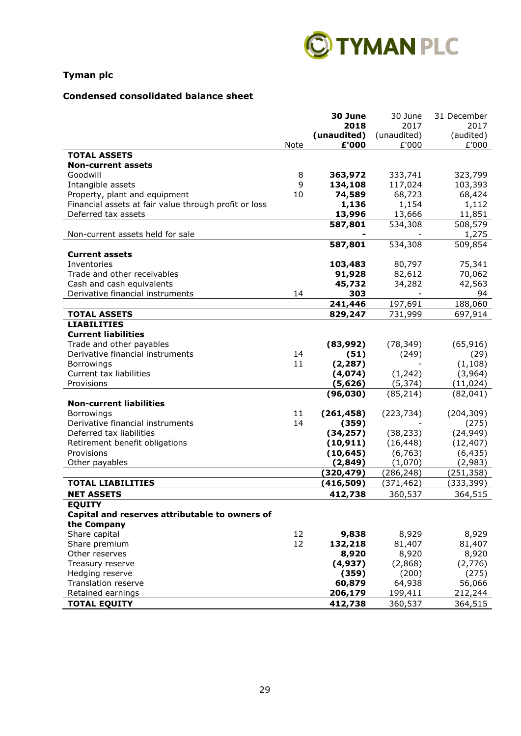

# **Condensed consolidated balance sheet**

|                                                       |          | 30 June     | 30 June     | 31 December |
|-------------------------------------------------------|----------|-------------|-------------|-------------|
|                                                       |          | 2018        | 2017        | 2017        |
|                                                       |          | (unaudited) | (unaudited) | (audited)   |
|                                                       | Note     | £'000       | £'000       | £'000       |
| <b>TOTAL ASSETS</b>                                   |          |             |             |             |
| <b>Non-current assets</b>                             |          |             |             |             |
| Goodwill                                              | 8        | 363,972     | 333,741     | 323,799     |
| Intangible assets                                     | 9        | 134,108     | 117,024     | 103,393     |
| Property, plant and equipment                         | 10       | 74,589      | 68,723      | 68,424      |
| Financial assets at fair value through profit or loss |          | 1,136       | 1,154       | 1,112       |
| Deferred tax assets                                   |          | 13,996      | 13,666      | 11,851      |
|                                                       |          | 587,801     | 534,308     | 508,579     |
| Non-current assets held for sale                      |          |             |             | 1,275       |
|                                                       |          | 587,801     | 534,308     | 509,854     |
| <b>Current assets</b>                                 |          |             |             |             |
| Inventories                                           |          | 103,483     | 80,797      | 75,341      |
| Trade and other receivables                           |          | 91,928      | 82,612      | 70,062      |
| Cash and cash equivalents                             |          | 45,732      | 34,282      | 42,563      |
| Derivative financial instruments                      | 14       | 303         |             | 94          |
|                                                       |          | 241,446     | 197,691     | 188,060     |
| <b>TOTAL ASSETS</b>                                   |          | 829,247     | 731,999     | 697,914     |
| <b>LIABILITIES</b>                                    |          |             |             |             |
| <b>Current liabilities</b>                            |          |             |             |             |
| Trade and other payables                              |          | (83,992)    | (78, 349)   | (65, 916)   |
| Derivative financial instruments                      | 14       | (51)        |             | (29)        |
|                                                       | 11       |             | (249)       |             |
| Borrowings<br>Current tax liabilities                 |          | (2, 287)    |             | (1, 108)    |
|                                                       |          | (4,074)     | (1, 242)    | (3,964)     |
| Provisions                                            |          | (5,626)     | (5, 374)    | (11, 024)   |
|                                                       |          | (96, 030)   | (85, 214)   | (82,041)    |
| <b>Non-current liabilities</b>                        |          |             |             |             |
| Borrowings<br>Derivative financial instruments        | 11<br>14 | (261, 458)  | (223, 734)  | (204, 309)  |
|                                                       |          | (359)       |             | (275)       |
| Deferred tax liabilities                              |          | (34, 257)   | (38, 233)   | (24, 949)   |
| Retirement benefit obligations                        |          | (10, 911)   | (16, 448)   | (12, 407)   |
| Provisions                                            |          | (10, 645)   | (6, 763)    | (6, 435)    |
| Other payables                                        |          | (2, 849)    | (1,070)     | (2,983)     |
|                                                       |          | (320,479)   | (286, 248)  | (251, 358)  |
| <b>TOTAL LIABILITIES</b>                              |          | (416, 509)  | (371, 462)  | (333, 399)  |
| <b>NET ASSETS</b>                                     |          | 412,738     | 360,537     | 364,515     |
| <b>EQUITY</b>                                         |          |             |             |             |
| Capital and reserves attributable to owners of        |          |             |             |             |
| the Company                                           |          |             |             |             |
| Share capital                                         | 12       | 9,838       | 8,929       | 8,929       |
| Share premium                                         | 12       | 132,218     | 81,407      | 81,407      |
| Other reserves                                        |          | 8,920       | 8,920       | 8,920       |
| Treasury reserve                                      |          | (4, 937)    | (2,868)     | (2,776)     |
| Hedging reserve                                       |          | (359)       | (200)       | (275)       |
| <b>Translation reserve</b>                            |          | 60,879      | 64,938      | 56,066      |
| Retained earnings                                     |          | 206,179     | 199,411     | 212,244     |
| <b>TOTAL EQUITY</b>                                   |          | 412,738     | 360,537     | 364,515     |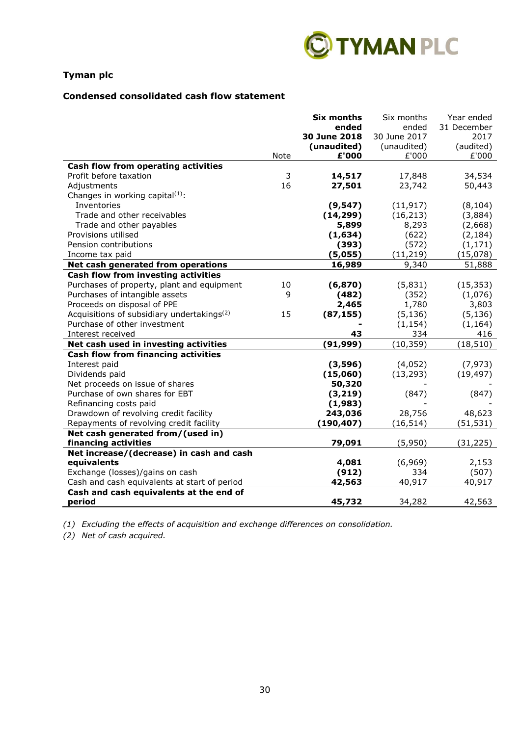

### **Condensed consolidated cash flow statement**

|                                                        |      | <b>Six months</b> | Six months   | Year ended  |
|--------------------------------------------------------|------|-------------------|--------------|-------------|
|                                                        |      | ended             | ended        | 31 December |
|                                                        |      | 30 June 2018      | 30 June 2017 | 2017        |
|                                                        |      | (unaudited)       | (unaudited)  | (audited)   |
|                                                        | Note | £'000             | £'000        | £'000       |
| Cash flow from operating activities                    |      |                   |              |             |
| Profit before taxation                                 | 3    | 14,517            | 17,848       | 34,534      |
| Adjustments                                            | 16   | 27,501            | 23,742       | 50,443      |
| Changes in working capital(1):                         |      |                   |              |             |
| Inventories                                            |      | (9, 547)          | (11, 917)    | (8, 104)    |
| Trade and other receivables                            |      | (14, 299)         | (16, 213)    | (3,884)     |
| Trade and other payables                               |      | 5,899             | 8,293        | (2,668)     |
| Provisions utilised                                    |      | (1,634)           | (622)        | (2, 184)    |
| Pension contributions                                  |      | (393)             | (572)        | (1, 171)    |
| Income tax paid                                        |      | (5,055)           | (11, 219)    | (15,078)    |
| Net cash generated from operations                     |      | 16,989            | 9,340        | 51,888      |
| Cash flow from investing activities                    |      |                   |              |             |
| Purchases of property, plant and equipment             | 10   | (6, 870)          | (5,831)      | (15, 353)   |
| Purchases of intangible assets                         | 9    | (482)             | (352)        | (1,076)     |
| Proceeds on disposal of PPE                            |      | 2,465             | 1,780        | 3,803       |
| Acquisitions of subsidiary undertakings <sup>(2)</sup> | 15   | (87, 155)         | (5, 136)     | (5, 136)    |
| Purchase of other investment                           |      |                   | (1, 154)     | (1, 164)    |
| Interest received                                      |      | 43                | 334          | 416         |
| Net cash used in investing activities                  |      | (91, 999)         | (10, 359)    | (18, 510)   |
| <b>Cash flow from financing activities</b>             |      |                   |              |             |
| Interest paid                                          |      | (3,596)           | (4,052)      | (7, 973)    |
| Dividends paid                                         |      | (15,060)          | (13, 293)    | (19, 497)   |
| Net proceeds on issue of shares                        |      | 50,320            |              |             |
| Purchase of own shares for EBT                         |      | (3, 219)          | (847)        | (847)       |
| Refinancing costs paid                                 |      | (1,983)           |              |             |
| Drawdown of revolving credit facility                  |      | 243,036           | 28,756       | 48,623      |
| Repayments of revolving credit facility                |      | (190, 407)        | (16, 514)    | (51, 531)   |
| Net cash generated from/(used in)                      |      |                   |              |             |
| financing activities                                   |      | 79,091            | (5,950)      | (31, 225)   |
| Net increase/(decrease) in cash and cash               |      |                   |              |             |
| equivalents                                            |      | 4,081             | (6,969)      | 2,153       |
| Exchange (losses)/gains on cash                        |      | (912)             | 334          | (507)       |
| Cash and cash equivalents at start of period           |      | 42,563            | 40,917       | 40,917      |
| Cash and cash equivalents at the end of                |      |                   |              |             |
| period                                                 |      | 45,732            | 34,282       | 42,563      |

*(1) Excluding the effects of acquisition and exchange differences on consolidation.*

*(2) Net of cash acquired.*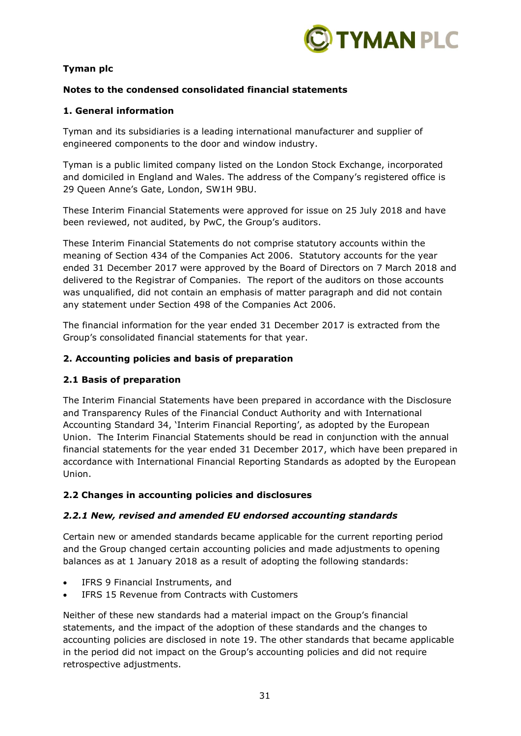

# **Notes to the condensed consolidated financial statements**

## **1. General information**

Tyman and its subsidiaries is a leading international manufacturer and supplier of engineered components to the door and window industry.

Tyman is a public limited company listed on the London Stock Exchange, incorporated and domiciled in England and Wales. The address of the Company's registered office is 29 Queen Anne's Gate, London, SW1H 9BU.

These Interim Financial Statements were approved for issue on 25 July 2018 and have been reviewed, not audited, by PwC, the Group's auditors.

These Interim Financial Statements do not comprise statutory accounts within the meaning of Section 434 of the Companies Act 2006. Statutory accounts for the year ended 31 December 2017 were approved by the Board of Directors on 7 March 2018 and delivered to the Registrar of Companies. The report of the auditors on those accounts was unqualified, did not contain an emphasis of matter paragraph and did not contain any statement under Section 498 of the Companies Act 2006.

The financial information for the year ended 31 December 2017 is extracted from the Group's consolidated financial statements for that year.

## **2. Accounting policies and basis of preparation**

## **2.1 Basis of preparation**

The Interim Financial Statements have been prepared in accordance with the Disclosure and Transparency Rules of the Financial Conduct Authority and with International Accounting Standard 34, 'Interim Financial Reporting', as adopted by the European Union. The Interim Financial Statements should be read in conjunction with the annual financial statements for the year ended 31 December 2017, which have been prepared in accordance with International Financial Reporting Standards as adopted by the European Union.

## **2.2 Changes in accounting policies and disclosures**

## *2.2.1 New, revised and amended EU endorsed accounting standards*

Certain new or amended standards became applicable for the current reporting period and the Group changed certain accounting policies and made adjustments to opening balances as at 1 January 2018 as a result of adopting the following standards:

- IFRS 9 Financial Instruments, and
- IFRS 15 Revenue from Contracts with Customers

Neither of these new standards had a material impact on the Group's financial statements, and the impact of the adoption of these standards and the changes to accounting policies are disclosed in note 19. The other standards that became applicable in the period did not impact on the Group's accounting policies and did not require retrospective adjustments.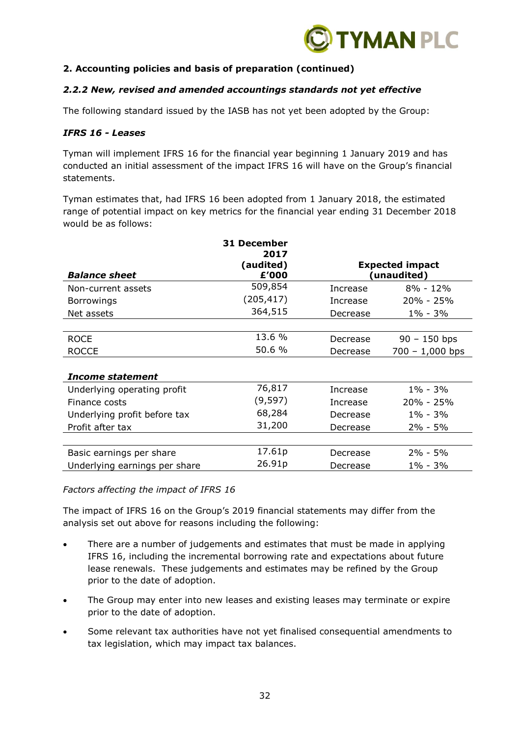

# **2. Accounting policies and basis of preparation (continued)**

## *2.2.2 New, revised and amended accountings standards not yet effective*

The following standard issued by the IASB has not yet been adopted by the Group:

### *IFRS 16 - Leases*

Tyman will implement IFRS 16 for the financial year beginning 1 January 2019 and has conducted an initial assessment of the impact IFRS 16 will have on the Group's financial statements.

Tyman estimates that, had IFRS 16 been adopted from 1 January 2018, the estimated range of potential impact on key metrics for the financial year ending 31 December 2018 would be as follows:

|                               | <b>31 December</b> |          |                                       |
|-------------------------------|--------------------|----------|---------------------------------------|
|                               | 2017               |          |                                       |
| <b>Balance sheet</b>          | (audited)<br>£'000 |          | <b>Expected impact</b><br>(unaudited) |
| Non-current assets            | 509,854            | Increase | $8\% - 12\%$                          |
| <b>Borrowings</b>             | (205, 417)         | Increase | 20% - 25%                             |
| Net assets                    | 364,515            | Decrease | $1\% - 3\%$                           |
|                               |                    |          |                                       |
| <b>ROCE</b>                   | 13.6 %             | Decrease | $90 - 150$ bps                        |
| <b>ROCCE</b>                  | 50.6 %             | Decrease | $700 - 1,000$ bps                     |
|                               |                    |          |                                       |
| Income statement              |                    |          |                                       |
| Underlying operating profit   | 76,817             | Increase | $1\% - 3\%$                           |
| Finance costs                 | (9,597)            | Increase | $20\% - 25\%$                         |
| Underlying profit before tax  | 68,284             | Decrease | $1\% - 3\%$                           |
| Profit after tax              | 31,200             | Decrease | 2% - 5%                               |
|                               |                    |          |                                       |
| Basic earnings per share      | 17.61p             | Decrease | $2\% - 5\%$                           |
| Underlying earnings per share | 26.91p             | Decrease | 1% - 3%                               |

*Factors affecting the impact of IFRS 16*

The impact of IFRS 16 on the Group's 2019 financial statements may differ from the analysis set out above for reasons including the following:

- There are a number of judgements and estimates that must be made in applying IFRS 16, including the incremental borrowing rate and expectations about future lease renewals. These judgements and estimates may be refined by the Group prior to the date of adoption.
- The Group may enter into new leases and existing leases may terminate or expire prior to the date of adoption.
- Some relevant tax authorities have not yet finalised consequential amendments to tax legislation, which may impact tax balances.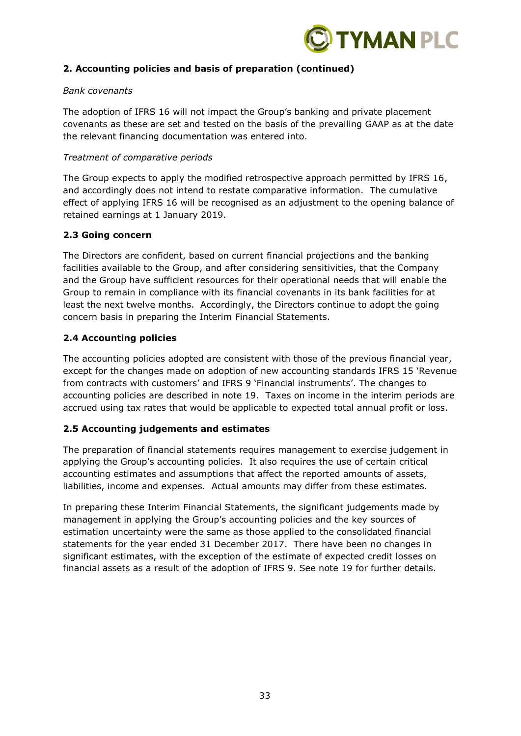

# **2. Accounting policies and basis of preparation (continued)**

### *Bank covenants*

The adoption of IFRS 16 will not impact the Group's banking and private placement covenants as these are set and tested on the basis of the prevailing GAAP as at the date the relevant financing documentation was entered into.

### *Treatment of comparative periods*

The Group expects to apply the modified retrospective approach permitted by IFRS 16, and accordingly does not intend to restate comparative information. The cumulative effect of applying IFRS 16 will be recognised as an adjustment to the opening balance of retained earnings at 1 January 2019.

## **2.3 Going concern**

The Directors are confident, based on current financial projections and the banking facilities available to the Group, and after considering sensitivities, that the Company and the Group have sufficient resources for their operational needs that will enable the Group to remain in compliance with its financial covenants in its bank facilities for at least the next twelve months. Accordingly, the Directors continue to adopt the going concern basis in preparing the Interim Financial Statements.

## **2.4 Accounting policies**

The accounting policies adopted are consistent with those of the previous financial year, except for the changes made on adoption of new accounting standards IFRS 15 'Revenue from contracts with customers' and IFRS 9 'Financial instruments'. The changes to accounting policies are described in note 19. Taxes on income in the interim periods are accrued using tax rates that would be applicable to expected total annual profit or loss.

## **2.5 Accounting judgements and estimates**

The preparation of financial statements requires management to exercise judgement in applying the Group's accounting policies. It also requires the use of certain critical accounting estimates and assumptions that affect the reported amounts of assets, liabilities, income and expenses. Actual amounts may differ from these estimates.

In preparing these Interim Financial Statements, the significant judgements made by management in applying the Group's accounting policies and the key sources of estimation uncertainty were the same as those applied to the consolidated financial statements for the year ended 31 December 2017. There have been no changes in significant estimates, with the exception of the estimate of expected credit losses on financial assets as a result of the adoption of IFRS 9. See note 19 for further details.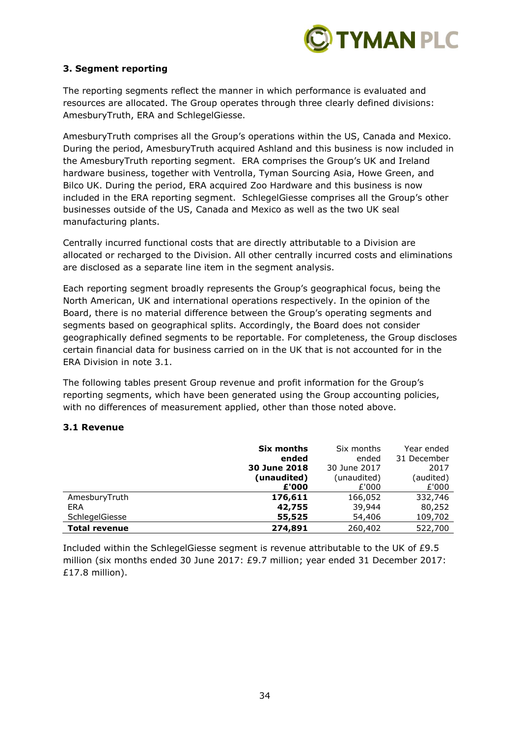

# **3. Segment reporting**

The reporting segments reflect the manner in which performance is evaluated and resources are allocated. The Group operates through three clearly defined divisions: AmesburyTruth, ERA and SchlegelGiesse.

AmesburyTruth comprises all the Group's operations within the US, Canada and Mexico. During the period, AmesburyTruth acquired Ashland and this business is now included in the AmesburyTruth reporting segment. ERA comprises the Group's UK and Ireland hardware business, together with Ventrolla, Tyman Sourcing Asia, Howe Green, and Bilco UK. During the period, ERA acquired Zoo Hardware and this business is now included in the ERA reporting segment. SchlegelGiesse comprises all the Group's other businesses outside of the US, Canada and Mexico as well as the two UK seal manufacturing plants.

Centrally incurred functional costs that are directly attributable to a Division are allocated or recharged to the Division. All other centrally incurred costs and eliminations are disclosed as a separate line item in the segment analysis.

Each reporting segment broadly represents the Group's geographical focus, being the North American, UK and international operations respectively. In the opinion of the Board, there is no material difference between the Group's operating segments and segments based on geographical splits. Accordingly, the Board does not consider geographically defined segments to be reportable. For completeness, the Group discloses certain financial data for business carried on in the UK that is not accounted for in the ERA Division in note 3.1.

The following tables present Group revenue and profit information for the Group's reporting segments, which have been generated using the Group accounting policies, with no differences of measurement applied, other than those noted above.

### **3.1 Revenue**

|                      | Six months   | Six months   | Year ended  |
|----------------------|--------------|--------------|-------------|
|                      | ended        | ended        | 31 December |
|                      | 30 June 2018 | 30 June 2017 | 2017        |
|                      | (unaudited)  | (unaudited)  | (audited)   |
|                      | £'000        | £'000        | £'000       |
| AmesburyTruth        | 176,611      | 166,052      | 332,746     |
| <b>ERA</b>           | 42,755       | 39,944       | 80,252      |
| SchlegelGiesse       | 55,525       | 54,406       | 109,702     |
| <b>Total revenue</b> | 274,891      | 260,402      | 522,700     |

Included within the SchlegelGiesse segment is revenue attributable to the UK of £9.5 million (six months ended 30 June 2017: £9.7 million; year ended 31 December 2017: £17.8 million).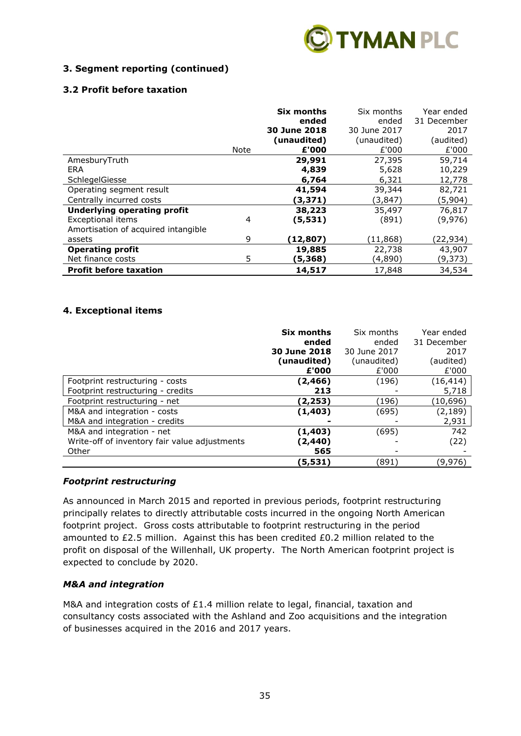

# **3. Segment reporting (continued)**

# **3.2 Profit before taxation**

|                                     |      | Six months<br>ended<br>30 June 2018<br>(unaudited) | Six months<br>ended<br>30 June 2017<br>(unaudited) | Year ended<br>31 December<br>2017<br>(audited) |
|-------------------------------------|------|----------------------------------------------------|----------------------------------------------------|------------------------------------------------|
|                                     | Note | £'000                                              | £'000                                              | £'000                                          |
| AmesburyTruth                       |      | 29,991                                             | 27,395                                             | 59,714                                         |
| ERA                                 |      | 4,839                                              | 5,628                                              | 10,229                                         |
| SchlegelGiesse                      |      | 6,764                                              | 6,321                                              | 12,778                                         |
| Operating segment result            |      | 41,594                                             | 39,344                                             | 82,721                                         |
| Centrally incurred costs            |      | (3,371)                                            | (3, 847)                                           | (5,904)                                        |
| <b>Underlying operating profit</b>  |      | 38,223                                             | 35,497                                             | 76,817                                         |
| <b>Exceptional items</b>            | 4    | (5,531)                                            | (891)                                              | (9,976)                                        |
| Amortisation of acquired intangible |      |                                                    |                                                    |                                                |
| assets                              | 9    | (12,807)                                           | (11,868)                                           | (22,934)                                       |
| <b>Operating profit</b>             |      | 19,885                                             | 22,738                                             | 43,907                                         |
| Net finance costs                   | 5    | (5,368)                                            | (4,890)                                            | (9,373)                                        |
| <b>Profit before taxation</b>       |      | 14,517                                             | 17,848                                             | 34,534                                         |

# **4. Exceptional items**

|                                               | Six months<br>ended<br>30 June 2018<br>(unaudited)<br>£'000 | Six months<br>ended<br>30 June 2017<br>(unaudited)<br>£'000 | Year ended<br>31 December<br>2017<br>(audited)<br>£'000 |
|-----------------------------------------------|-------------------------------------------------------------|-------------------------------------------------------------|---------------------------------------------------------|
| Footprint restructuring - costs               | (2,466)                                                     | (196)                                                       | (16, 414)                                               |
| Footprint restructuring - credits             | 213                                                         |                                                             | 5,718                                                   |
| Footprint restructuring - net                 | (2,253)                                                     | (196)                                                       | (10, 696)                                               |
| M&A and integration - costs                   | (1, 403)                                                    | (695)                                                       | (2, 189)                                                |
| M&A and integration - credits                 |                                                             |                                                             | 2,931                                                   |
| M&A and integration - net                     | (1, 403)                                                    | (695)                                                       | 742                                                     |
| Write-off of inventory fair value adjustments | (2,440)                                                     |                                                             | (22)                                                    |
| Other                                         | 565                                                         |                                                             |                                                         |
|                                               | (5,531)                                                     | (891)                                                       | (9,976)                                                 |

## *Footprint restructuring*

As announced in March 2015 and reported in previous periods, footprint restructuring principally relates to directly attributable costs incurred in the ongoing North American footprint project. Gross costs attributable to footprint restructuring in the period amounted to £2.5 million. Against this has been credited £0.2 million related to the profit on disposal of the Willenhall, UK property. The North American footprint project is expected to conclude by 2020.

## *M&A and integration*

M&A and integration costs of £1.4 million relate to legal, financial, taxation and consultancy costs associated with the Ashland and Zoo acquisitions and the integration of businesses acquired in the 2016 and 2017 years.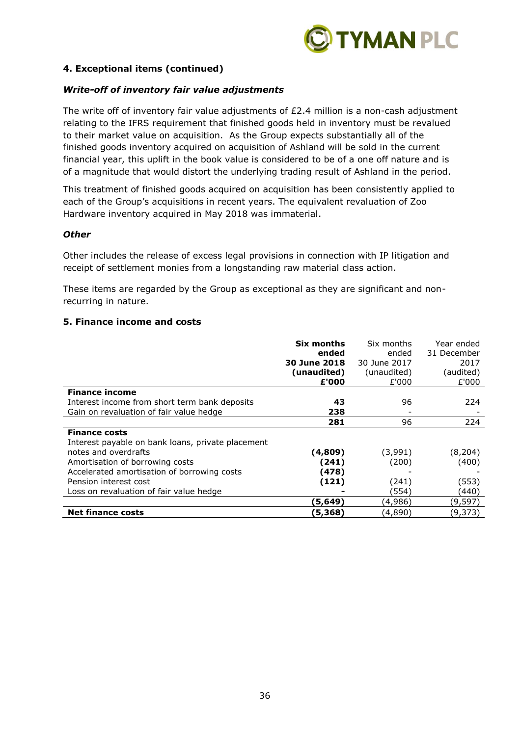

## **4. Exceptional items (continued)**

### *Write-off of inventory fair value adjustments*

The write off of inventory fair value adjustments of £2.4 million is a non-cash adjustment relating to the IFRS requirement that finished goods held in inventory must be revalued to their market value on acquisition. As the Group expects substantially all of the finished goods inventory acquired on acquisition of Ashland will be sold in the current financial year, this uplift in the book value is considered to be of a one off nature and is of a magnitude that would distort the underlying trading result of Ashland in the period.

This treatment of finished goods acquired on acquisition has been consistently applied to each of the Group's acquisitions in recent years. The equivalent revaluation of Zoo Hardware inventory acquired in May 2018 was immaterial.

### *Other*

Other includes the release of excess legal provisions in connection with IP litigation and receipt of settlement monies from a longstanding raw material class action.

These items are regarded by the Group as exceptional as they are significant and nonrecurring in nature.

#### **5. Finance income and costs**

|                                                   | Six months   | Six months   | Year ended  |
|---------------------------------------------------|--------------|--------------|-------------|
|                                                   | ended        | ended        | 31 December |
|                                                   | 30 June 2018 | 30 June 2017 | 2017        |
|                                                   | (unaudited)  | (unaudited)  | (audited)   |
|                                                   | £'000        | £'000        | £'000       |
| <b>Finance income</b>                             |              |              |             |
| Interest income from short term bank deposits     | 43           | 96           | 224         |
| Gain on revaluation of fair value hedge           | 238          |              |             |
|                                                   | 281          | 96           | 224         |
| <b>Finance costs</b>                              |              |              |             |
| Interest payable on bank loans, private placement |              |              |             |
| notes and overdrafts                              | (4,809)      | (3,991)      | (8, 204)    |
| Amortisation of borrowing costs                   | (241)        | (200)        | (400)       |
| Accelerated amortisation of borrowing costs       | (478)        |              |             |
| Pension interest cost                             | (121)        | (241)        | (553)       |
| Loss on revaluation of fair value hedge           |              | (554)        | (440)       |
|                                                   | (5, 649)     | (4,986)      | (9,597)     |
| <b>Net finance costs</b>                          | (5, 368)     | (4,890)      | (9,373)     |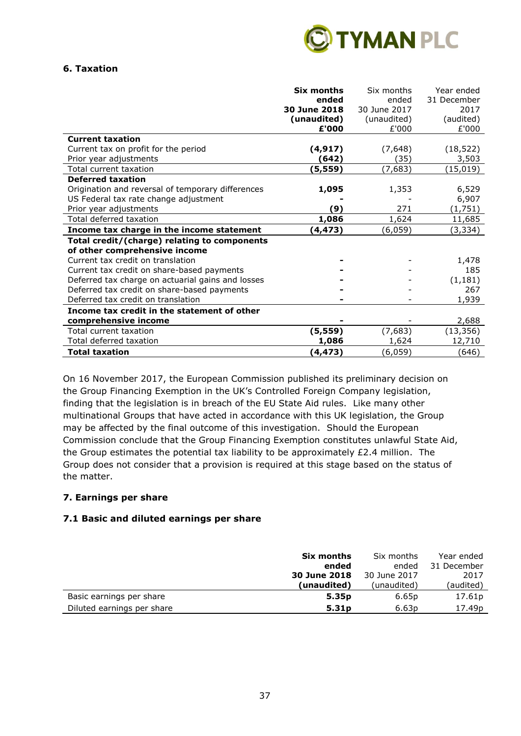

### **6. Taxation**

|                                                   | <b>Six months</b><br>ended<br>30 June 2018<br>(unaudited) | Six months<br>ended<br>30 June 2017<br>(unaudited) | Year ended<br>31 December<br>2017<br>(audited) |
|---------------------------------------------------|-----------------------------------------------------------|----------------------------------------------------|------------------------------------------------|
| <b>Current taxation</b>                           | £'000                                                     | £'000                                              | £'000                                          |
| Current tax on profit for the period              | (4, 917)                                                  | (7,648)                                            | (18, 522)                                      |
| Prior year adjustments                            | (642)                                                     | (35)                                               | 3,503                                          |
| Total current taxation                            | (5,559)                                                   | (7,683)                                            | (15,019)                                       |
| <b>Deferred taxation</b>                          |                                                           |                                                    |                                                |
| Origination and reversal of temporary differences | 1,095                                                     | 1,353                                              | 6,529                                          |
| US Federal tax rate change adjustment             |                                                           |                                                    | 6,907                                          |
| Prior year adjustments                            | (9)                                                       | 271                                                | (1,751)                                        |
| Total deferred taxation                           | 1,086                                                     | 1,624                                              | 11,685                                         |
| Income tax charge in the income statement         | (4, 473)                                                  | (6,059)                                            | (3, 334)                                       |
| Total credit/(charge) relating to components      |                                                           |                                                    |                                                |
| of other comprehensive income                     |                                                           |                                                    |                                                |
| Current tax credit on translation                 |                                                           |                                                    | 1,478                                          |
| Current tax credit on share-based payments        |                                                           |                                                    | 185                                            |
| Deferred tax charge on actuarial gains and losses |                                                           |                                                    | (1, 181)                                       |
| Deferred tax credit on share-based payments       |                                                           |                                                    | 267                                            |
| Deferred tax credit on translation                |                                                           |                                                    | 1,939                                          |
| Income tax credit in the statement of other       |                                                           |                                                    |                                                |
| comprehensive income                              |                                                           |                                                    | 2,688                                          |
| Total current taxation                            | (5, 559)                                                  | (7,683)                                            | (13, 356)                                      |
| Total deferred taxation                           | 1,086                                                     | 1,624                                              | 12,710                                         |
| <b>Total taxation</b>                             | (4, 473)                                                  | (6,059)                                            | (646)                                          |

On 16 November 2017, the European Commission published its preliminary decision on the Group Financing Exemption in the UK's Controlled Foreign Company legislation, finding that the legislation is in breach of the EU State Aid rules. Like many other multinational Groups that have acted in accordance with this UK legislation, the Group may be affected by the final outcome of this investigation. Should the European Commission conclude that the Group Financing Exemption constitutes unlawful State Aid, the Group estimates the potential tax liability to be approximately £2.4 million. The Group does not consider that a provision is required at this stage based on the status of the matter.

## **7. Earnings per share**

## **7.1 Basic and diluted earnings per share**

|                            | Six months        | Six months        | Year ended         |
|----------------------------|-------------------|-------------------|--------------------|
|                            | ended             | ended             | 31 December        |
|                            | 30 June 2018      | 30 June 2017      | 2017               |
|                            | (unaudited)       | (unaudited)       | (audited)          |
| Basic earnings per share   | 5.35 <sub>p</sub> | 6.65p             | 17.61p             |
| Diluted earnings per share | 5.31 <sub>p</sub> | 6.63 <sub>p</sub> | 17.49 <sub>p</sub> |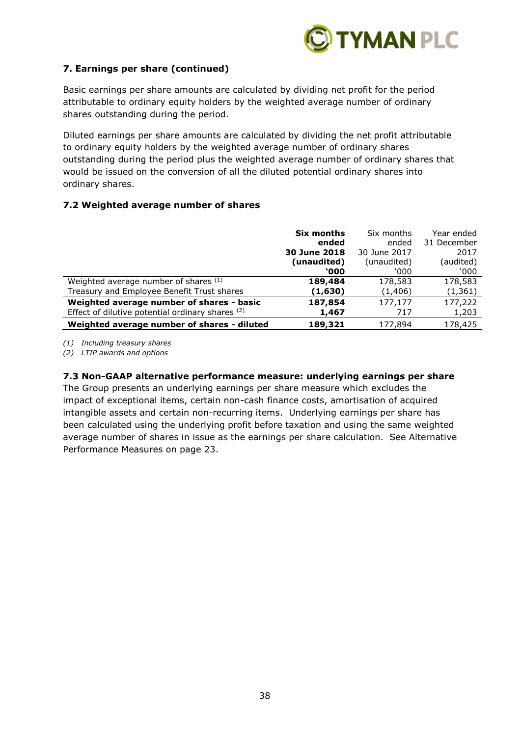

# **7. Earnings per share (continued)**

Basic earnings per share amounts are calculated by dividing net profit for the period attributable to ordinary equity holders by the weighted average number of ordinary shares outstanding during the period.

Diluted earnings per share amounts are calculated by dividing the net profit attributable to ordinary equity holders by the weighted average number of ordinary shares outstanding during the period plus the weighted average number of ordinary shares that would be issued on the conversion of all the diluted potential ordinary shares into ordinary shares.

# **7.2 Weighted average number of shares**

|                                                  | Six months   | Six months   | Year ended  |
|--------------------------------------------------|--------------|--------------|-------------|
|                                                  | ended        | ended        | 31 December |
|                                                  | 30 June 2018 | 30 June 2017 | 2017        |
|                                                  | (unaudited)  | (unaudited)  | (audited)   |
|                                                  | <b>`000</b>  | `000         | `000        |
| Weighted average number of shares (1)            | 189,484      | 178,583      | 178,583     |
| Treasury and Employee Benefit Trust shares       | (1,630)      | (1,406)      | (1, 361)    |
| Weighted average number of shares - basic        | 187,854      | 177,177      | 177,222     |
| Effect of dilutive potential ordinary shares (2) | 1,467        | 717          | 1,203       |
| Weighted average number of shares - diluted      | 189,321      | 177,894      | 178,425     |

*(1) Including treasury shares*

*(2) LTIP awards and options*

## **7.3 Non-GAAP alternative performance measure: underlying earnings per share**

The Group presents an underlying earnings per share measure which excludes the impact of exceptional items, certain non-cash finance costs, amortisation of acquired intangible assets and certain non-recurring items. Underlying earnings per share has been calculated using the underlying profit before taxation and using the same weighted average number of shares in issue as the earnings per share calculation. See Alternative Performance Measures on page 23.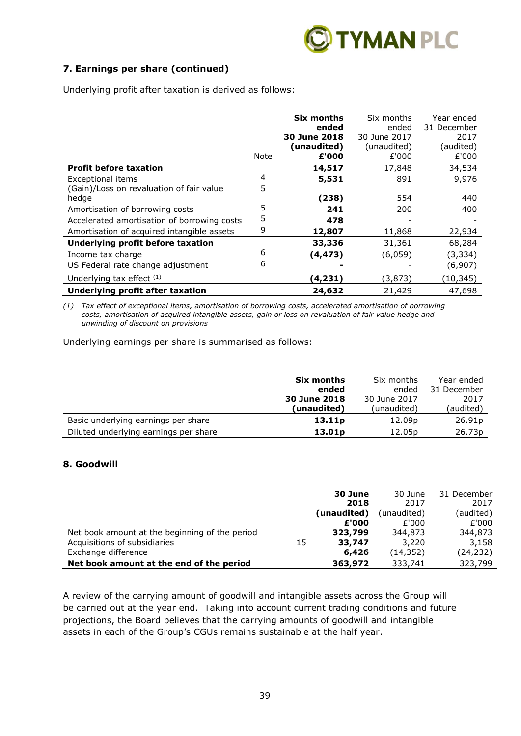

# **7. Earnings per share (continued)**

Underlying profit after taxation is derived as follows:

|                                                   |      | <b>Six months</b><br>ended<br>30 June 2018<br>(unaudited) | Six months<br>ended<br>30 June 2017<br>(unaudited) | Year ended<br>31 December<br>2017<br>(audited) |
|---------------------------------------------------|------|-----------------------------------------------------------|----------------------------------------------------|------------------------------------------------|
| <b>Profit before taxation</b>                     | Note | £'000                                                     | £'000                                              | £'000                                          |
| Exceptional items                                 | 4    | 14,517<br>5,531                                           | 17,848<br>891                                      | 34,534<br>9,976                                |
| (Gain)/Loss on revaluation of fair value<br>hedge | 5    | (238)                                                     | 554                                                | 440                                            |
| Amortisation of borrowing costs                   | 5    | 241                                                       | 200                                                | 400                                            |
| Accelerated amortisation of borrowing costs       | 5    | 478                                                       |                                                    |                                                |
| Amortisation of acquired intangible assets        | 9    | 12,807                                                    | 11,868                                             | 22,934                                         |
| Underlying profit before taxation                 |      | 33,336                                                    | 31,361                                             | 68,284                                         |
| Income tax charge                                 | 6    | (4, 473)                                                  | (6,059)                                            | (3, 334)                                       |
| US Federal rate change adjustment                 | 6    |                                                           |                                                    | (6,907)                                        |
| Underlying tax effect $(1)$                       |      | (4, 231)                                                  | (3, 873)                                           | (10, 345)                                      |
| <b>Underlying profit after taxation</b>           |      | 24,632                                                    | 21,429                                             | 47,698                                         |

*(1) Tax effect of exceptional items, amortisation of borrowing costs, accelerated amortisation of borrowing costs, amortisation of acquired intangible assets, gain or loss on revaluation of fair value hedge and unwinding of discount on provisions*

Underlying earnings per share is summarised as follows:

|                                       | Six months         | Six months         | Year ended         |
|---------------------------------------|--------------------|--------------------|--------------------|
|                                       | ended              | ended              | 31 December        |
|                                       | 30 June 2018       | 30 June 2017       | 2017               |
|                                       | (unaudited)        | (unaudited)        | (audited)          |
| Basic underlying earnings per share   | 13.11 <sub>p</sub> | 12.09p             | 26.91 <sub>p</sub> |
| Diluted underlying earnings per share | 13.01 <sub>p</sub> | 12.05 <sub>p</sub> | 26.73 <sub>p</sub> |

### **8. Goodwill**

|                                                |    | 30 June     | 30 June     | 31 December |
|------------------------------------------------|----|-------------|-------------|-------------|
|                                                |    | 2018        | 2017        | 2017        |
|                                                |    | (unaudited) | (unaudited) | (audited)   |
|                                                |    | £'000       | £'000       | £'000       |
| Net book amount at the beginning of the period |    | 323,799     | 344,873     | 344,873     |
| Acquisitions of subsidiaries                   | 15 | 33,747      | 3,220       | 3,158       |
| Exchange difference                            |    | 6,426       | (14,352)    | (24,232)    |
| Net book amount at the end of the period       |    | 363,972     | 333,741     | 323,799     |

A review of the carrying amount of goodwill and intangible assets across the Group will be carried out at the year end. Taking into account current trading conditions and future projections, the Board believes that the carrying amounts of goodwill and intangible assets in each of the Group's CGUs remains sustainable at the half year.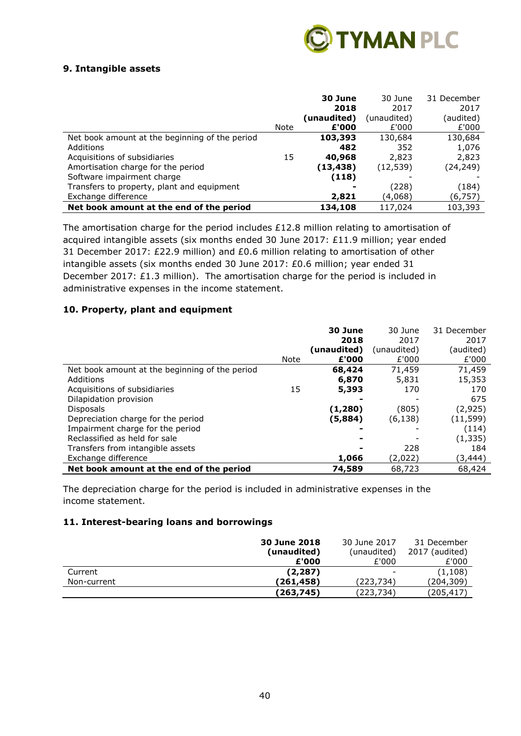

## **9. Intangible assets**

|                                                |             | 30 June     | 30 June     | 31 December |
|------------------------------------------------|-------------|-------------|-------------|-------------|
|                                                |             | 2018        | 2017        | 2017        |
|                                                |             | (unaudited) | (unaudited) | (audited)   |
|                                                | <b>Note</b> | £'000       | £'000       | £'000       |
| Net book amount at the beginning of the period |             | 103,393     | 130,684     | 130,684     |
| Additions                                      |             | 482         | 352         | 1,076       |
| Acquisitions of subsidiaries                   | 15          | 40,968      | 2,823       | 2,823       |
| Amortisation charge for the period             |             | (13,438)    | (12, 539)   | (24, 249)   |
| Software impairment charge                     |             | (118)       |             |             |
| Transfers to property, plant and equipment     |             |             | (228)       | (184)       |
| Exchange difference                            |             | 2,821       | (4,068)     | (6,757)     |
| Net book amount at the end of the period       |             | 134,108     | 117,024     | 103,393     |

The amortisation charge for the period includes £12.8 million relating to amortisation of acquired intangible assets (six months ended 30 June 2017: £11.9 million; year ended 31 December 2017: £22.9 million) and £0.6 million relating to amortisation of other intangible assets (six months ended 30 June 2017: £0.6 million; year ended 31 December 2017: £1.3 million). The amortisation charge for the period is included in administrative expenses in the income statement.

### **10. Property, plant and equipment**

|                                                | Note | 30 June<br>2018<br>(unaudited)<br>£'000 | 30 June<br>2017<br>(unaudited)<br>£'000 | 31 December<br>2017<br>(audited)<br>£'000 |
|------------------------------------------------|------|-----------------------------------------|-----------------------------------------|-------------------------------------------|
| Net book amount at the beginning of the period |      | 68,424                                  | 71,459                                  | 71,459                                    |
| Additions                                      |      | 6,870                                   | 5,831                                   | 15,353                                    |
| Acquisitions of subsidiaries                   | 15   | 5,393                                   | 170                                     | 170                                       |
| Dilapidation provision                         |      |                                         |                                         | 675                                       |
| <b>Disposals</b>                               |      | (1, 280)                                | (805)                                   | (2,925)                                   |
| Depreciation charge for the period             |      | (5,884)                                 | (6, 138)                                | (11,599)                                  |
| Impairment charge for the period               |      |                                         |                                         | (114)                                     |
| Reclassified as held for sale                  |      |                                         |                                         | (1, 335)                                  |
| Transfers from intangible assets               |      |                                         | 228                                     | 184                                       |
| Exchange difference                            |      | 1,066                                   | (2,022)                                 | (3,444)                                   |
| Net book amount at the end of the period       |      | 74,589                                  | 68,723                                  | 68,424                                    |

The depreciation charge for the period is included in administrative expenses in the income statement.

# **11. Interest-bearing loans and borrowings**

|             | 30 June 2018 | 30 June 2017      | 31 December    |
|-------------|--------------|-------------------|----------------|
|             | (unaudited)  | (unaudited)       | 2017 (audited) |
|             | £'000        | £'000             | £'000          |
| Current     | (2, 287)     | $\qquad \qquad -$ | (1,108)        |
| Non-current | (261,458)    | (223,734)         | (204,309)      |
|             | (263,745)    | (223,734)         | (205, 417)     |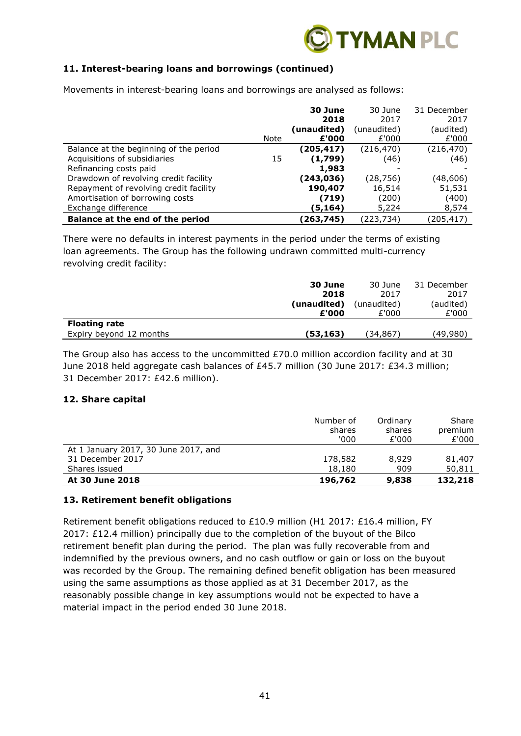

# **11. Interest-bearing loans and borrowings (continued)**

Movements in interest-bearing loans and borrowings are analysed as follows:

|                                        |      | 30 June     | 30 June     | 31 December |
|----------------------------------------|------|-------------|-------------|-------------|
|                                        |      | 2018        | 2017        | 2017        |
|                                        |      | (unaudited) | (unaudited) | (audited)   |
|                                        | Note | £'000       | £'000       | £'000       |
| Balance at the beginning of the period |      | (205,417)   | (216,470)   | (216, 470)  |
| Acquisitions of subsidiaries           | 15   | (1,799)     | (46)        | (46)        |
| Refinancing costs paid                 |      | 1,983       |             |             |
| Drawdown of revolving credit facility  |      | (243,036)   | (28,756)    | (48,606)    |
| Repayment of revolving credit facility |      | 190,407     | 16,514      | 51,531      |
| Amortisation of borrowing costs        |      | (719)       | (200)       | (400)       |
| Exchange difference                    |      | (5,164)     | 5,224       | 8,574       |
| Balance at the end of the period       |      | (263,745)   | (223,734)   | (205,417)   |

There were no defaults in interest payments in the period under the terms of existing loan agreements. The Group has the following undrawn committed multi-currency revolving credit facility:

|                         | 30 June     | 30 June     | 31 December |
|-------------------------|-------------|-------------|-------------|
|                         | 2018        | 2017        | 2017        |
|                         | (unaudited) | (unaudited) | (audited)   |
|                         | £'000       | £'000       | £'000       |
| <b>Floating rate</b>    |             |             |             |
| Expiry beyond 12 months | (53,163)    | (34,867)    | (49,980)    |

The Group also has access to the uncommitted £70.0 million accordion facility and at 30 June 2018 held aggregate cash balances of £45.7 million (30 June 2017: £34.3 million; 31 December 2017: £42.6 million).

## **12. Share capital**

|                                      | Number of<br>shares<br>'000 | Ordinary<br>shares<br>£'000 | Share<br>premium<br>£'000 |
|--------------------------------------|-----------------------------|-----------------------------|---------------------------|
| At 1 January 2017, 30 June 2017, and |                             |                             |                           |
| 31 December 2017                     | 178,582                     | 8,929                       | 81,407                    |
| Shares issued                        | 18,180                      | 909                         | 50,811                    |
| At 30 June 2018                      | 196,762                     | 9,838                       | 132,218                   |

### **13. Retirement benefit obligations**

Retirement benefit obligations reduced to £10.9 million (H1 2017: £16.4 million, FY 2017: £12.4 million) principally due to the completion of the buyout of the Bilco retirement benefit plan during the period. The plan was fully recoverable from and indemnified by the previous owners, and no cash outflow or gain or loss on the buyout was recorded by the Group. The remaining defined benefit obligation has been measured using the same assumptions as those applied as at 31 December 2017, as the reasonably possible change in key assumptions would not be expected to have a material impact in the period ended 30 June 2018.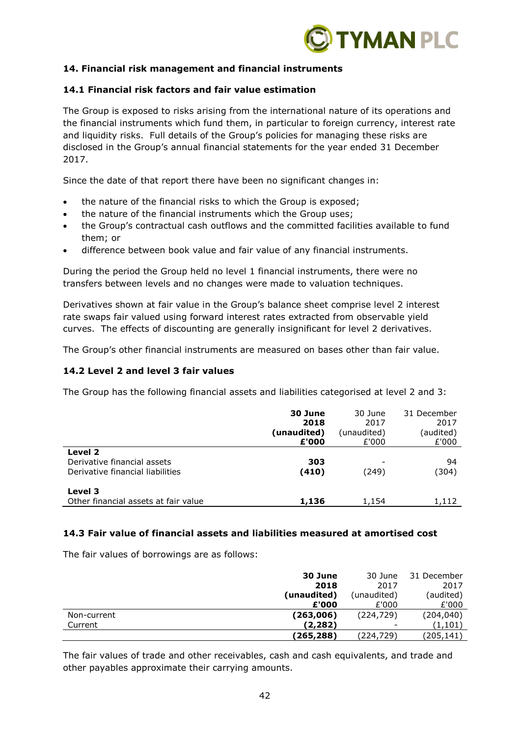

## **14. Financial risk management and financial instruments**

# **14.1 Financial risk factors and fair value estimation**

The Group is exposed to risks arising from the international nature of its operations and the financial instruments which fund them, in particular to foreign currency, interest rate and liquidity risks. Full details of the Group's policies for managing these risks are disclosed in the Group's annual financial statements for the year ended 31 December 2017.

Since the date of that report there have been no significant changes in:

- the nature of the financial risks to which the Group is exposed;
- the nature of the financial instruments which the Group uses;
- the Group's contractual cash outflows and the committed facilities available to fund them; or
- difference between book value and fair value of any financial instruments.

During the period the Group held no level 1 financial instruments, there were no transfers between levels and no changes were made to valuation techniques.

Derivatives shown at fair value in the Group's balance sheet comprise level 2 interest rate swaps fair valued using forward interest rates extracted from observable yield curves. The effects of discounting are generally insignificant for level 2 derivatives.

The Group's other financial instruments are measured on bases other than fair value.

### **14.2 Level 2 and level 3 fair values**

The Group has the following financial assets and liabilities categorised at level 2 and 3:

|                                                                            | 30 June<br>2018<br>(unaudited)<br>£'000 | 30 June<br>2017<br>(unaudited)<br>£'000 | 31 December<br>2017<br>(audited)<br>£'000 |
|----------------------------------------------------------------------------|-----------------------------------------|-----------------------------------------|-------------------------------------------|
| Level 2<br>Derivative financial assets<br>Derivative financial liabilities | 303<br>(410)                            | (249)                                   | 94<br>(304)                               |
| Level 3<br>Other financial assets at fair value                            | 1,136                                   | 1,154                                   | 1,112                                     |

### **14.3 Fair value of financial assets and liabilities measured at amortised cost**

The fair values of borrowings are as follows:

|             | 30 June     | 30 June     | 31 December |
|-------------|-------------|-------------|-------------|
|             | 2018        | 2017        | 2017        |
|             | (unaudited) | (unaudited) | (audited)   |
|             | £'000       | £'000       | £'000       |
| Non-current | (263,006)   | (224, 729)  | (204, 040)  |
| Current     | (2,282)     | -           | (1,101)     |
|             | (265, 288)  | (224,729)   | (205,141)   |

The fair values of trade and other receivables, cash and cash equivalents, and trade and other payables approximate their carrying amounts.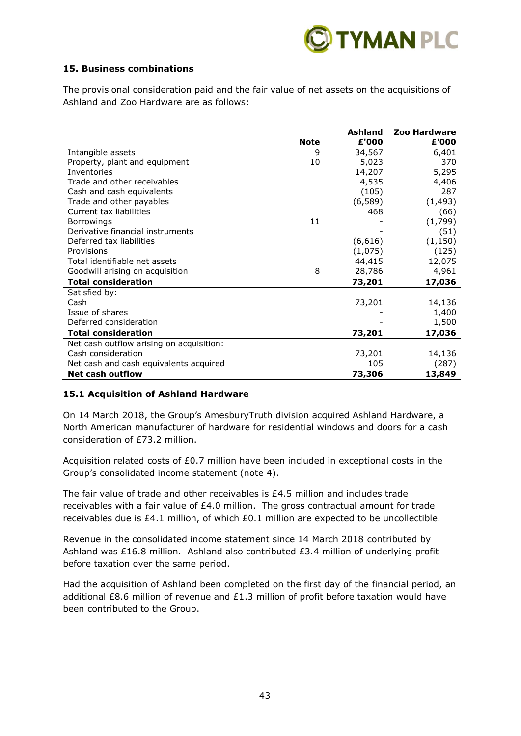

## **15. Business combinations**

The provisional consideration paid and the fair value of net assets on the acquisitions of Ashland and Zoo Hardware are as follows:

|                                          |             | Ashland  | Zoo Hardware |
|------------------------------------------|-------------|----------|--------------|
|                                          | <b>Note</b> | £'000    | £'000        |
| Intangible assets                        | 9           | 34,567   | 6,401        |
| Property, plant and equipment            | 10          | 5,023    | 370          |
| <b>Inventories</b>                       |             | 14,207   | 5,295        |
| Trade and other receivables              |             | 4,535    | 4,406        |
| Cash and cash equivalents                |             | (105)    | 287          |
| Trade and other payables                 |             | (6, 589) | (1, 493)     |
| Current tax liabilities                  |             | 468      | (66)         |
| <b>Borrowings</b>                        | 11          |          | (1,799)      |
| Derivative financial instruments         |             |          | (51)         |
| Deferred tax liabilities                 |             | (6,616)  | (1, 150)     |
| Provisions                               |             | (1,075)  | (125)        |
| Total identifiable net assets            |             | 44,415   | 12,075       |
| Goodwill arising on acquisition          | 8           | 28,786   | 4,961        |
| <b>Total consideration</b>               |             | 73,201   | 17,036       |
| Satisfied by:                            |             |          |              |
| Cash                                     |             | 73,201   | 14,136       |
| Issue of shares                          |             |          | 1,400        |
| Deferred consideration                   |             |          | 1,500        |
| <b>Total consideration</b>               |             | 73,201   | 17,036       |
| Net cash outflow arising on acquisition: |             |          |              |
| Cash consideration                       |             | 73,201   | 14,136       |
| Net cash and cash equivalents acquired   |             | 105      | (287)        |
| <b>Net cash outflow</b>                  |             | 73,306   | 13,849       |

## **15.1 Acquisition of Ashland Hardware**

On 14 March 2018, the Group's AmesburyTruth division acquired Ashland Hardware, a North American manufacturer of hardware for residential windows and doors for a cash consideration of £73.2 million.

Acquisition related costs of £0.7 million have been included in exceptional costs in the Group's consolidated income statement (note 4).

The fair value of trade and other receivables is £4.5 million and includes trade receivables with a fair value of £4.0 million. The gross contractual amount for trade receivables due is £4.1 million, of which £0.1 million are expected to be uncollectible.

Revenue in the consolidated income statement since 14 March 2018 contributed by Ashland was £16.8 million. Ashland also contributed £3.4 million of underlying profit before taxation over the same period.

Had the acquisition of Ashland been completed on the first day of the financial period, an additional £8.6 million of revenue and £1.3 million of profit before taxation would have been contributed to the Group.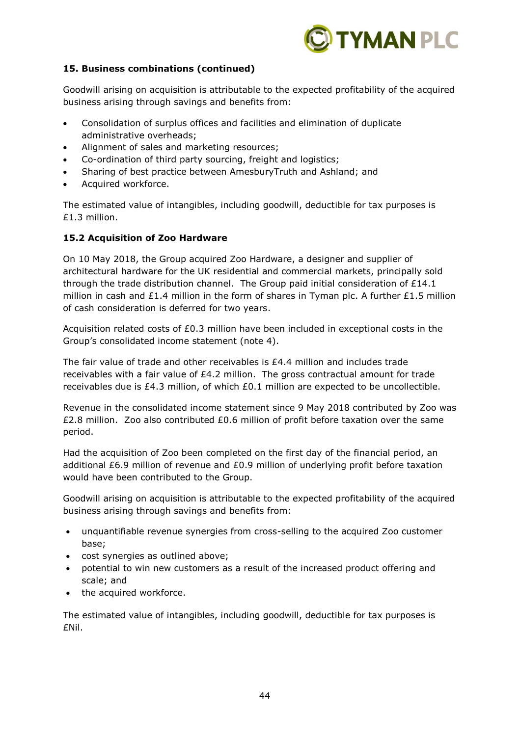

## **15. Business combinations (continued)**

Goodwill arising on acquisition is attributable to the expected profitability of the acquired business arising through savings and benefits from:

- Consolidation of surplus offices and facilities and elimination of duplicate administrative overheads;
- Alignment of sales and marketing resources;
- Co-ordination of third party sourcing, freight and logistics;
- Sharing of best practice between AmesburyTruth and Ashland; and
- Acquired workforce.

The estimated value of intangibles, including goodwill, deductible for tax purposes is £1.3 million.

## **15.2 Acquisition of Zoo Hardware**

On 10 May 2018, the Group acquired Zoo Hardware, a designer and supplier of architectural hardware for the UK residential and commercial markets, principally sold through the trade distribution channel. The Group paid initial consideration of  $£14.1$ million in cash and £1.4 million in the form of shares in Tyman plc. A further £1.5 million of cash consideration is deferred for two years.

Acquisition related costs of £0.3 million have been included in exceptional costs in the Group's consolidated income statement (note 4).

The fair value of trade and other receivables is £4.4 million and includes trade receivables with a fair value of £4.2 million. The gross contractual amount for trade receivables due is £4.3 million, of which £0.1 million are expected to be uncollectible.

Revenue in the consolidated income statement since 9 May 2018 contributed by Zoo was £2.8 million. Zoo also contributed £0.6 million of profit before taxation over the same period.

Had the acquisition of Zoo been completed on the first day of the financial period, an additional £6.9 million of revenue and £0.9 million of underlying profit before taxation would have been contributed to the Group.

Goodwill arising on acquisition is attributable to the expected profitability of the acquired business arising through savings and benefits from:

- unquantifiable revenue synergies from cross-selling to the acquired Zoo customer base;
- cost synergies as outlined above;
- potential to win new customers as a result of the increased product offering and scale; and
- the acquired workforce.

The estimated value of intangibles, including goodwill, deductible for tax purposes is £Nil.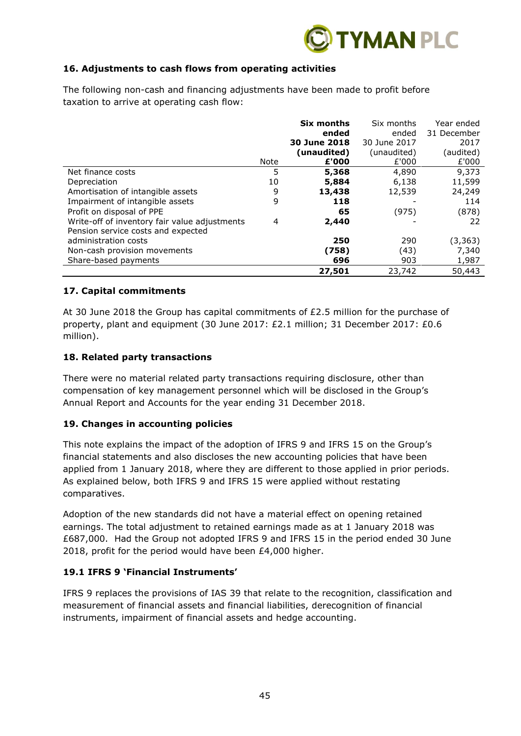

# **16. Adjustments to cash flows from operating activities**

The following non-cash and financing adjustments have been made to profit before taxation to arrive at operating cash flow:

|                                               |      | Six months   | Six months   | Year ended  |
|-----------------------------------------------|------|--------------|--------------|-------------|
|                                               |      | ended        | ended        | 31 December |
|                                               |      | 30 June 2018 | 30 June 2017 | 2017        |
|                                               |      | (unaudited)  | (unaudited)  | (audited)   |
|                                               | Note | £'000        | £'000        | £'000       |
| Net finance costs                             | 5    | 5,368        | 4,890        | 9,373       |
| Depreciation                                  | 10   | 5,884        | 6,138        | 11,599      |
| Amortisation of intangible assets             | 9    | 13,438       | 12,539       | 24,249      |
| Impairment of intangible assets               | 9    | 118          |              | 114         |
| Profit on disposal of PPE                     |      | 65           | (975)        | (878)       |
| Write-off of inventory fair value adjustments | 4    | 2,440        |              | 22          |
| Pension service costs and expected            |      |              |              |             |
| administration costs                          |      | 250          | 290          | (3,363)     |
| Non-cash provision movements                  |      | (758)        | (43)         | 7,340       |
| Share-based payments                          |      | 696          | 903          | 1,987       |
|                                               |      | 27,501       | 23,742       | 50,443      |

### **17. Capital commitments**

At 30 June 2018 the Group has capital commitments of  $£2.5$  million for the purchase of property, plant and equipment (30 June 2017: £2.1 million; 31 December 2017: £0.6 million).

### **18. Related party transactions**

There were no material related party transactions requiring disclosure, other than compensation of key management personnel which will be disclosed in the Group's Annual Report and Accounts for the year ending 31 December 2018.

### **19. Changes in accounting policies**

This note explains the impact of the adoption of IFRS 9 and IFRS 15 on the Group's financial statements and also discloses the new accounting policies that have been applied from 1 January 2018, where they are different to those applied in prior periods. As explained below, both IFRS 9 and IFRS 15 were applied without restating comparatives.

Adoption of the new standards did not have a material effect on opening retained earnings. The total adjustment to retained earnings made as at 1 January 2018 was £687,000. Had the Group not adopted IFRS 9 and IFRS 15 in the period ended 30 June 2018, profit for the period would have been £4,000 higher.

## **19.1 IFRS 9 'Financial Instruments'**

IFRS 9 replaces the provisions of IAS 39 that relate to the recognition, classification and measurement of financial assets and financial liabilities, derecognition of financial instruments, impairment of financial assets and hedge accounting.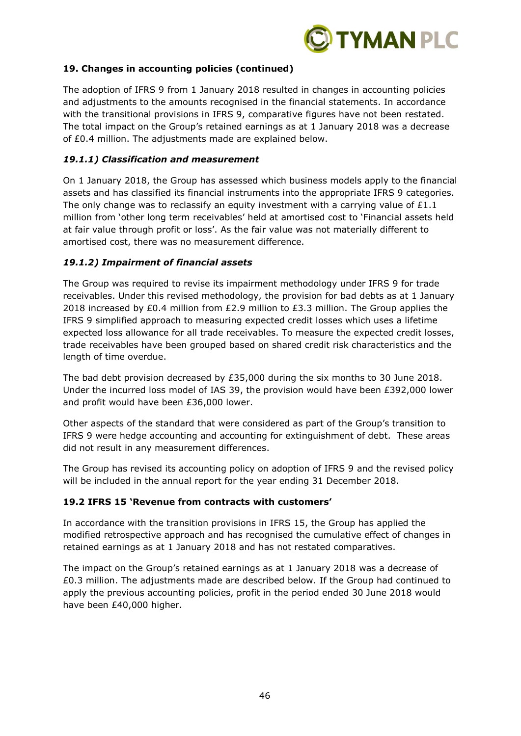

# **19. Changes in accounting policies (continued)**

The adoption of IFRS 9 from 1 January 2018 resulted in changes in accounting policies and adjustments to the amounts recognised in the financial statements. In accordance with the transitional provisions in IFRS 9, comparative figures have not been restated. The total impact on the Group's retained earnings as at 1 January 2018 was a decrease of £0.4 million. The adjustments made are explained below.

# *19.1.1) Classification and measurement*

On 1 January 2018, the Group has assessed which business models apply to the financial assets and has classified its financial instruments into the appropriate IFRS 9 categories. The only change was to reclassify an equity investment with a carrying value of  $£1.1$ million from 'other long term receivables' held at amortised cost to 'Financial assets held at fair value through profit or loss'. As the fair value was not materially different to amortised cost, there was no measurement difference.

# *19.1.2) Impairment of financial assets*

The Group was required to revise its impairment methodology under IFRS 9 for trade receivables. Under this revised methodology, the provision for bad debts as at 1 January 2018 increased by £0.4 million from £2.9 million to £3.3 million. The Group applies the IFRS 9 simplified approach to measuring expected credit losses which uses a lifetime expected loss allowance for all trade receivables. To measure the expected credit losses, trade receivables have been grouped based on shared credit risk characteristics and the length of time overdue.

The bad debt provision decreased by £35,000 during the six months to 30 June 2018. Under the incurred loss model of IAS 39, the provision would have been £392,000 lower and profit would have been £36,000 lower.

Other aspects of the standard that were considered as part of the Group's transition to IFRS 9 were hedge accounting and accounting for extinguishment of debt. These areas did not result in any measurement differences.

The Group has revised its accounting policy on adoption of IFRS 9 and the revised policy will be included in the annual report for the year ending 31 December 2018.

## **19.2 IFRS 15 'Revenue from contracts with customers'**

In accordance with the transition provisions in IFRS 15, the Group has applied the modified retrospective approach and has recognised the cumulative effect of changes in retained earnings as at 1 January 2018 and has not restated comparatives.

The impact on the Group's retained earnings as at 1 January 2018 was a decrease of £0.3 million. The adjustments made are described below. If the Group had continued to apply the previous accounting policies, profit in the period ended 30 June 2018 would have been £40,000 higher.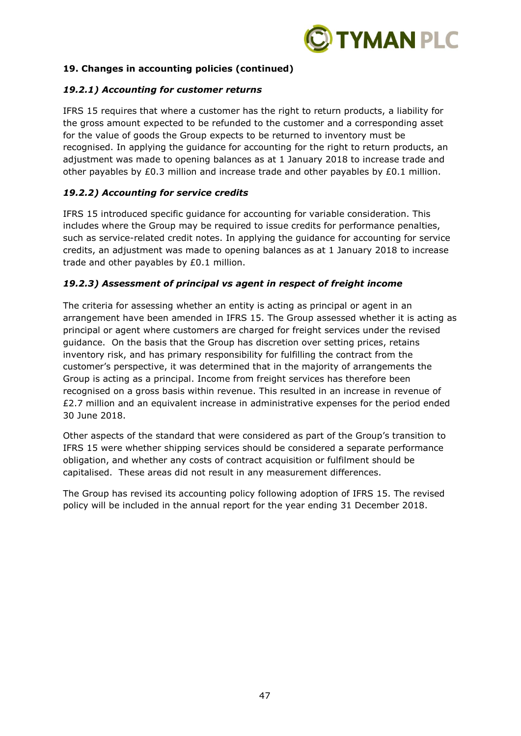

## **19. Changes in accounting policies (continued)**

## *19.2.1) Accounting for customer returns*

IFRS 15 requires that where a customer has the right to return products, a liability for the gross amount expected to be refunded to the customer and a corresponding asset for the value of goods the Group expects to be returned to inventory must be recognised. In applying the guidance for accounting for the right to return products, an adjustment was made to opening balances as at 1 January 2018 to increase trade and other payables by  $£0.3$  million and increase trade and other payables by  $£0.1$  million.

# *19.2.2) Accounting for service credits*

IFRS 15 introduced specific guidance for accounting for variable consideration. This includes where the Group may be required to issue credits for performance penalties, such as service-related credit notes. In applying the guidance for accounting for service credits, an adjustment was made to opening balances as at 1 January 2018 to increase trade and other payables by £0.1 million.

# *19.2.3) Assessment of principal vs agent in respect of freight income*

The criteria for assessing whether an entity is acting as principal or agent in an arrangement have been amended in IFRS 15. The Group assessed whether it is acting as principal or agent where customers are charged for freight services under the revised guidance. On the basis that the Group has discretion over setting prices, retains inventory risk, and has primary responsibility for fulfilling the contract from the customer's perspective, it was determined that in the majority of arrangements the Group is acting as a principal. Income from freight services has therefore been recognised on a gross basis within revenue. This resulted in an increase in revenue of £2.7 million and an equivalent increase in administrative expenses for the period ended 30 June 2018.

Other aspects of the standard that were considered as part of the Group's transition to IFRS 15 were whether shipping services should be considered a separate performance obligation, and whether any costs of contract acquisition or fulfilment should be capitalised. These areas did not result in any measurement differences.

The Group has revised its accounting policy following adoption of IFRS 15. The revised policy will be included in the annual report for the year ending 31 December 2018.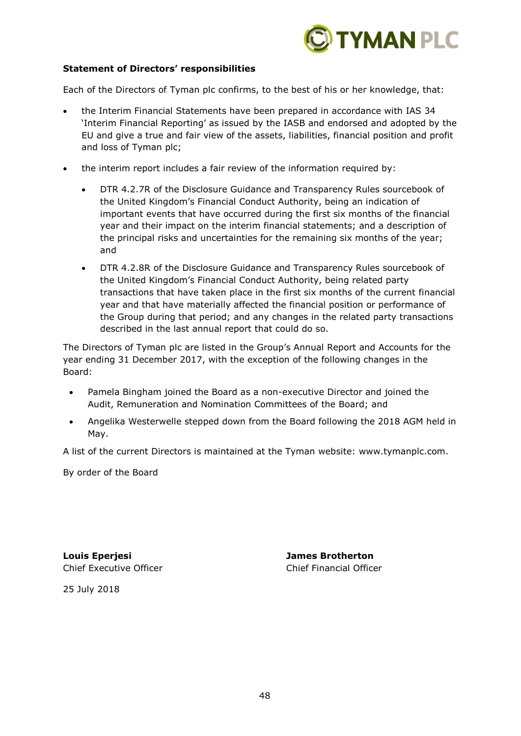

### **Statement of Directors' responsibilities**

Each of the Directors of Tyman plc confirms, to the best of his or her knowledge, that:

- the Interim Financial Statements have been prepared in accordance with IAS 34 'Interim Financial Reporting' as issued by the IASB and endorsed and adopted by the EU and give a true and fair view of the assets, liabilities, financial position and profit and loss of Tyman plc;
- the interim report includes a fair review of the information required by:
	- DTR 4.2.7R of the Disclosure Guidance and Transparency Rules sourcebook of the United Kingdom's Financial Conduct Authority, being an indication of important events that have occurred during the first six months of the financial year and their impact on the interim financial statements; and a description of the principal risks and uncertainties for the remaining six months of the year; and
	- DTR 4.2.8R of the Disclosure Guidance and Transparency Rules sourcebook of the United Kingdom's Financial Conduct Authority, being related party transactions that have taken place in the first six months of the current financial year and that have materially affected the financial position or performance of the Group during that period; and any changes in the related party transactions described in the last annual report that could do so.

The Directors of Tyman plc are listed in the Group's Annual Report and Accounts for the year ending 31 December 2017, with the exception of the following changes in the Board:

- Pamela Bingham joined the Board as a non-executive Director and joined the Audit, Remuneration and Nomination Committees of the Board; and
- Angelika Westerwelle stepped down from the Board following the 2018 AGM held in May.

A list of the current Directors is maintained at the Tyman website: www.tymanplc.com.

By order of the Board

**Louis Eperjesi James Brotherton** Chief Executive Officer Chief Financial Officer

25 July 2018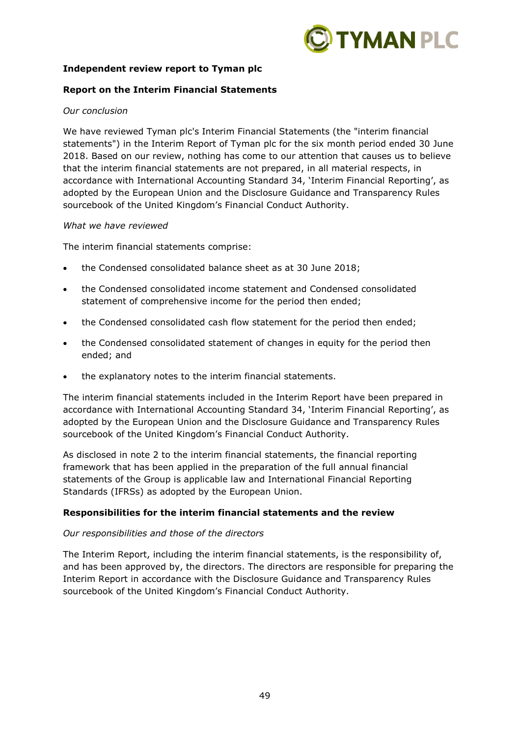

### **Independent review report to Tyman plc**

### **Report on the Interim Financial Statements**

### *Our conclusion*

We have reviewed Tyman plc's Interim Financial Statements (the "interim financial statements") in the Interim Report of Tyman plc for the six month period ended 30 June 2018. Based on our review, nothing has come to our attention that causes us to believe that the interim financial statements are not prepared, in all material respects, in accordance with International Accounting Standard 34, 'Interim Financial Reporting', as adopted by the European Union and the Disclosure Guidance and Transparency Rules sourcebook of the United Kingdom's Financial Conduct Authority.

#### *What we have reviewed*

The interim financial statements comprise:

- the Condensed consolidated balance sheet as at 30 June 2018;
- the Condensed consolidated income statement and Condensed consolidated statement of comprehensive income for the period then ended;
- the Condensed consolidated cash flow statement for the period then ended;
- the Condensed consolidated statement of changes in equity for the period then ended; and
- the explanatory notes to the interim financial statements.

The interim financial statements included in the Interim Report have been prepared in accordance with International Accounting Standard 34, 'Interim Financial Reporting', as adopted by the European Union and the Disclosure Guidance and Transparency Rules sourcebook of the United Kingdom's Financial Conduct Authority.

As disclosed in note 2 to the interim financial statements, the financial reporting framework that has been applied in the preparation of the full annual financial statements of the Group is applicable law and International Financial Reporting Standards (IFRSs) as adopted by the European Union.

### **Responsibilities for the interim financial statements and the review**

### *Our responsibilities and those of the directors*

The Interim Report, including the interim financial statements, is the responsibility of, and has been approved by, the directors. The directors are responsible for preparing the Interim Report in accordance with the Disclosure Guidance and Transparency Rules sourcebook of the United Kingdom's Financial Conduct Authority.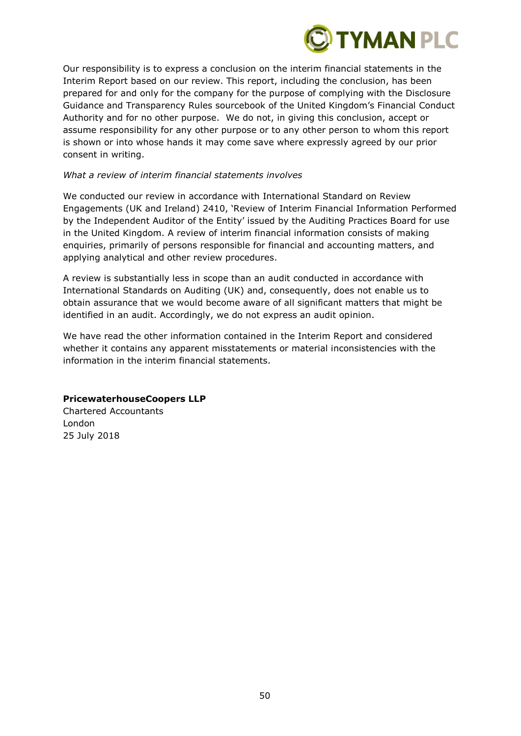

Our responsibility is to express a conclusion on the interim financial statements in the Interim Report based on our review. This report, including the conclusion, has been prepared for and only for the company for the purpose of complying with the Disclosure Guidance and Transparency Rules sourcebook of the United Kingdom's Financial Conduct Authority and for no other purpose. We do not, in giving this conclusion, accept or assume responsibility for any other purpose or to any other person to whom this report is shown or into whose hands it may come save where expressly agreed by our prior consent in writing.

### *What a review of interim financial statements involves*

We conducted our review in accordance with International Standard on Review Engagements (UK and Ireland) 2410, 'Review of Interim Financial Information Performed by the Independent Auditor of the Entity' issued by the Auditing Practices Board for use in the United Kingdom. A review of interim financial information consists of making enquiries, primarily of persons responsible for financial and accounting matters, and applying analytical and other review procedures.

A review is substantially less in scope than an audit conducted in accordance with International Standards on Auditing (UK) and, consequently, does not enable us to obtain assurance that we would become aware of all significant matters that might be identified in an audit. Accordingly, we do not express an audit opinion.

We have read the other information contained in the Interim Report and considered whether it contains any apparent misstatements or material inconsistencies with the information in the interim financial statements.

## **PricewaterhouseCoopers LLP**

Chartered Accountants London 25 July 2018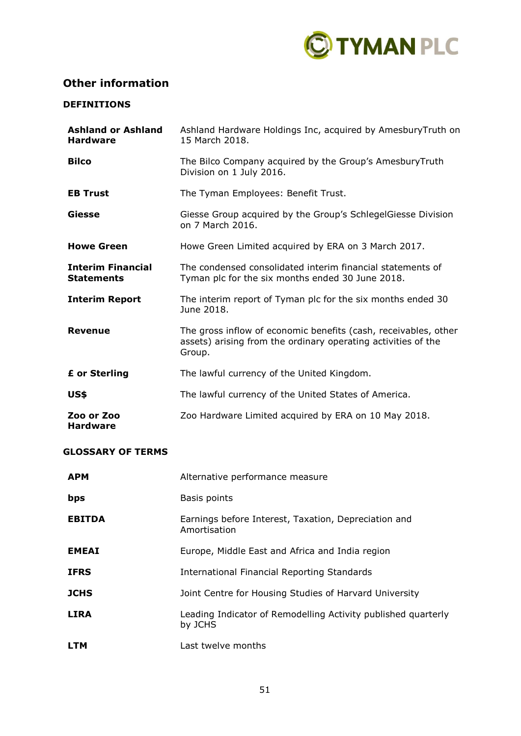

# **Other information**

# **DEFINITIONS**

| <b>Ashland or Ashland</b><br><b>Hardware</b>  | Ashland Hardware Holdings Inc, acquired by AmesburyTruth on<br>15 March 2018.                                                              |
|-----------------------------------------------|--------------------------------------------------------------------------------------------------------------------------------------------|
| <b>Bilco</b>                                  | The Bilco Company acquired by the Group's AmesburyTruth<br>Division on 1 July 2016.                                                        |
| <b>EB Trust</b>                               | The Tyman Employees: Benefit Trust.                                                                                                        |
| Giesse                                        | Giesse Group acquired by the Group's SchlegelGiesse Division<br>on 7 March 2016.                                                           |
| <b>Howe Green</b>                             | Howe Green Limited acquired by ERA on 3 March 2017.                                                                                        |
| <b>Interim Financial</b><br><b>Statements</b> | The condensed consolidated interim financial statements of<br>Tyman plc for the six months ended 30 June 2018.                             |
| <b>Interim Report</b>                         | The interim report of Tyman plc for the six months ended 30<br>June 2018.                                                                  |
| <b>Revenue</b>                                | The gross inflow of economic benefits (cash, receivables, other<br>assets) arising from the ordinary operating activities of the<br>Group. |
| £ or Sterling                                 | The lawful currency of the United Kingdom.                                                                                                 |
| US\$                                          | The lawful currency of the United States of America.                                                                                       |
| Zoo or Zoo<br><b>Hardware</b>                 | Zoo Hardware Limited acquired by ERA on 10 May 2018.                                                                                       |

# **GLOSSARY OF TERMS**

| <b>APM</b>    | Alternative performance measure                                          |
|---------------|--------------------------------------------------------------------------|
| bps           | Basis points                                                             |
| <b>EBITDA</b> | Earnings before Interest, Taxation, Depreciation and<br>Amortisation     |
| <b>EMEAI</b>  | Europe, Middle East and Africa and India region                          |
| <b>IFRS</b>   | International Financial Reporting Standards                              |
| <b>JCHS</b>   | Joint Centre for Housing Studies of Harvard University                   |
| <b>LIRA</b>   | Leading Indicator of Remodelling Activity published quarterly<br>by JCHS |
| <b>LTM</b>    | Last twelve months                                                       |